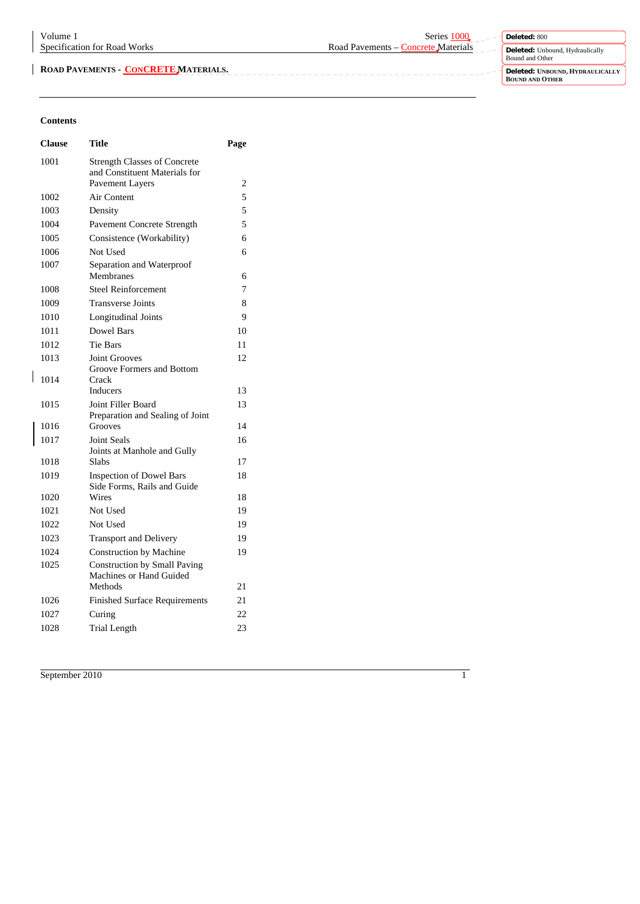**Deleted:** 800 **Deleted:** Unbound, Hydraulically Bound and Other

**Deleted: UNBOUND, HYDRAULICALLY BOUND AND OTHER** 

## **Contents**

 $\overline{\phantom{a}}$ 

| <b>Clause</b> | Title                                                                                   | Page           |
|---------------|-----------------------------------------------------------------------------------------|----------------|
| 1001          | <b>Strength Classes of Concrete</b><br>and Constituent Materials for<br>Pavement Layers | 2              |
| 1002          | Air Content                                                                             | 5              |
| 1003          | Density                                                                                 | 5              |
| 1004          | Pavement Concrete Strength                                                              | $\overline{5}$ |
| 1005          | Consistence (Workability)                                                               | 6              |
| 1006          | Not Used                                                                                | 6              |
| 1007          | Separation and Waterproof<br>Membranes                                                  | 6              |
| 1008          | <b>Steel Reinforcement</b>                                                              | 7              |
| 1009          | <b>Transverse Joints</b>                                                                | 8              |
| 1010          | Longitudinal Joints                                                                     | 9              |
| 1011          | Dowel Bars                                                                              | 10             |
| 1012          | <b>Tie Bars</b>                                                                         | 11             |
| 1013          | <b>Joint Grooves</b>                                                                    | 12             |
| 1014          | Groove Formers and Bottom<br>Crack                                                      |                |
|               | <b>Inducers</b>                                                                         | 13             |
| 1015          | Joint Filler Board<br>Preparation and Sealing of Joint                                  | 13             |
| 1016          | Grooves                                                                                 | 14             |
| 1017          | <b>Joint Seals</b><br>Joints at Manhole and Gully                                       | 16             |
| 1018          | Slabs                                                                                   | 17             |
| 1019          | <b>Inspection of Dowel Bars</b><br>Side Forms, Rails and Guide                          | 18             |
| 1020          | Wires                                                                                   | 18             |
| 1021          | Not Used                                                                                | 19             |
| 1022          | Not Used                                                                                | 19             |
| 1023          | <b>Transport and Delivery</b>                                                           | 19             |
| 1024          | <b>Construction by Machine</b>                                                          | 19             |
| 1025          | <b>Construction by Small Paving</b><br>Machines or Hand Guided                          |                |
|               | Methods                                                                                 | 21             |
| 1026          | <b>Finished Surface Requirements</b>                                                    | 21             |
| 1027          | Curing                                                                                  | 22             |
| 1028          | <b>Trial Length</b>                                                                     | 23             |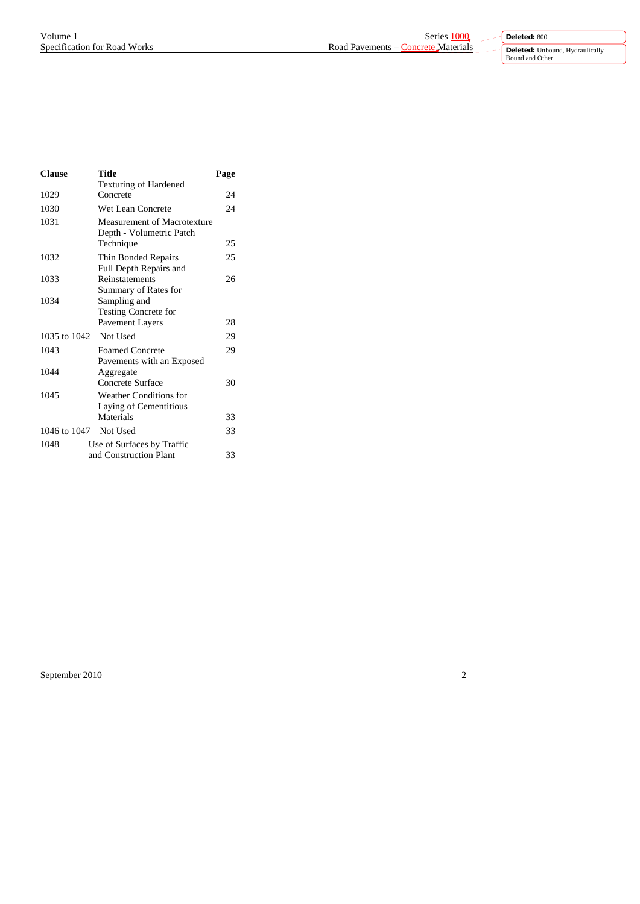**Deleted:** Unbound, Hydraulically Bound and Other

 $\overline{a}$ 

| <b>Clause</b>         | Title                                                   | Page |
|-----------------------|---------------------------------------------------------|------|
|                       | <b>Texturing of Hardened</b>                            |      |
| 1029                  | Concrete                                                | 24   |
| 1030                  | Wet Lean Concrete                                       | 24   |
| 1031                  | Measurement of Macrotexture<br>Depth - Volumetric Patch |      |
|                       | Technique                                               | 25   |
| 1032                  | Thin Bonded Repairs<br>Full Depth Repairs and           | 25   |
| 1033                  | Reinstatements<br>Summary of Rates for                  | 26   |
| 1034                  | Sampling and<br><b>Testing Concrete for</b>             |      |
|                       | Pavement Layers                                         | 28   |
| 1035 to 1042          | Not Used                                                | 29   |
| 1043                  | <b>Foamed Concrete</b><br>Pavements with an Exposed     | 29   |
| 1044                  | Aggregate                                               |      |
|                       | Concrete Surface                                        | 30   |
| 1045                  | Weather Conditions for<br>Laying of Cementitious        |      |
|                       | Materials                                               | 33   |
| 1046 to 1047 Not Used |                                                         | 33   |
| 1048                  | Use of Surfaces by Traffic                              |      |
|                       | and Construction Plant                                  | 33   |

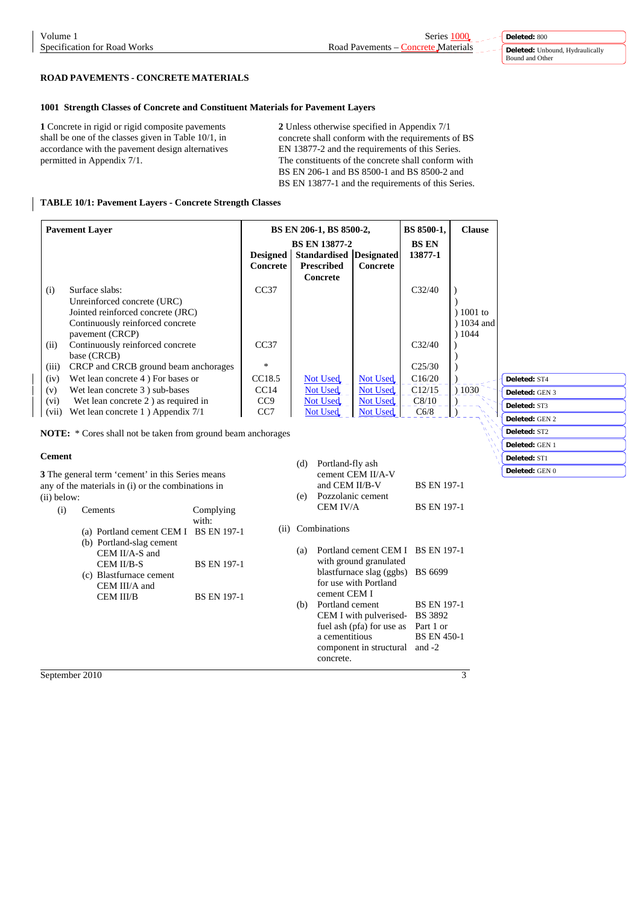# **ROAD PAVEMENTS - CONCRETE MATERIALS**

## **1001 Strength Classes of Concrete and Constituent Materials for Pavement Layers**

**1** Concrete in rigid or rigid composite pavements shall be one of the classes given in Table 10/1, in accordance with the pavement design alternatives permitted in Appendix 7/1.

**2** Unless otherwise specified in Appendix 7/1 concrete shall conform with the requirements of BS EN 13877-2 and the requirements of this Series. The constituents of the concrete shall conform with BS EN 206-1 and BS 8500-1 and BS 8500-2 and BS EN 13877-1 and the requirements of this Series.

## **TABLE 10/1: Pavement Layers - Concrete Strength Classes**

| <b>Pavement Layer</b> |                                        |                             | BS EN 206-1, BS 8500-2,<br><b>BS EN 13877-2</b>                 |          | BS 8500-1,<br><b>BS EN</b> | <b>Clause</b> |          |
|-----------------------|----------------------------------------|-----------------------------|-----------------------------------------------------------------|----------|----------------------------|---------------|----------|
|                       |                                        | <b>Designed</b><br>Concrete | <b>Standardised Designated</b><br><b>Prescribed</b><br>Concrete | Concrete | 13877-1                    |               |          |
| (i)                   | Surface slabs:                         | CC37                        |                                                                 |          | C <sub>32/40</sub>         |               |          |
|                       | Unreinforced concrete (URC)            |                             |                                                                 |          |                            |               |          |
|                       | Jointed reinforced concrete (JRC)      |                             |                                                                 |          |                            | $1001$ to     |          |
|                       | Continuously reinforced concrete       |                             |                                                                 |          |                            | ) 1034 and    |          |
|                       | pavement (CRCP)                        |                             |                                                                 |          |                            | ) 1044        |          |
| (ii)                  | Continuously reinforced concrete       | CC37                        |                                                                 |          | C <sub>32/40</sub>         |               |          |
|                       | base (CRCB)                            |                             |                                                                 |          |                            |               |          |
| (iii)                 | CRCP and CRCB ground beam anchorages   | $\ast$                      |                                                                 |          | C <sub>25/30</sub>         |               |          |
| (iv)                  | Wet lean concrete 4) For bases or      | CC <sub>18.5</sub>          | Not Used                                                        | Not Used | C16/20                     |               | Deleted: |
| (v)                   | Wet lean concrete 3) sub-bases         | CC <sub>14</sub>            | Not Used                                                        | Not Used | C12/15                     | ) 1030        | Deleted: |
| (vi)                  | Wet lean concrete 2) as required in    | CC <sub>9</sub>             | Not Used                                                        | Not Used | C8/10                      |               | Deleted: |
| (vii)                 | Wet lean concrete $1$ ) Appendix $7/1$ | CC <sub>7</sub>             | <b>Not Used</b>                                                 | Not Used | C6/8                       |               |          |
|                       |                                        |                             |                                                                 |          |                            |               | Deleted: |

**NOTE:** \* Cores shall not be taken from ground beam anchorages

#### **Cement**

**3** The general term 'cement' in this Series means any of the materials in (i) or the combinations in (ii) below:

| (i) | <b>Cements</b>                        | Complying          |
|-----|---------------------------------------|--------------------|
|     |                                       | with:              |
|     | (a) Portland cement CEM I BS EN 197-1 |                    |
|     | (b) Portland-slag cement              |                    |
|     | CEM II/A-S and                        |                    |
|     | CEM II/B-S                            | <b>BS EN 197-1</b> |
|     | (c) Blastfurnace cement               |                    |
|     | CEM III/A and                         |                    |
|     | CEM III/B                             | <b>BS EN 197-1</b> |
|     |                                       |                    |
|     |                                       |                    |

 (d) Portland-fly ash cement CEM II/A-V and CEM II/B-V BS EN 197-1 (e) Pozzolanic cement CEM IV/A BS EN 197-1 (ii) Combinations (a) Portland cement CEM I BS EN 197-1 with ground granulated blastfurnace slag (ggbs) BS 6699 for use with Portland cement CEM I (b) Portland cement BS EN 197-1<br>CEM I with pulverised-BS 3892 CEM I with pulverisedfuel ash (pfa) for use as Part 1 or a cementitious BS EN 450-1 component in structural and -2

concrete.

**Deleted:** ST4 **GEN 3 Deleted:** ST3 **GEN 2 Deleted:** ST2 **Deleted:** GEN 1 **Deleted:** ST1 **Deleted:** GEN 0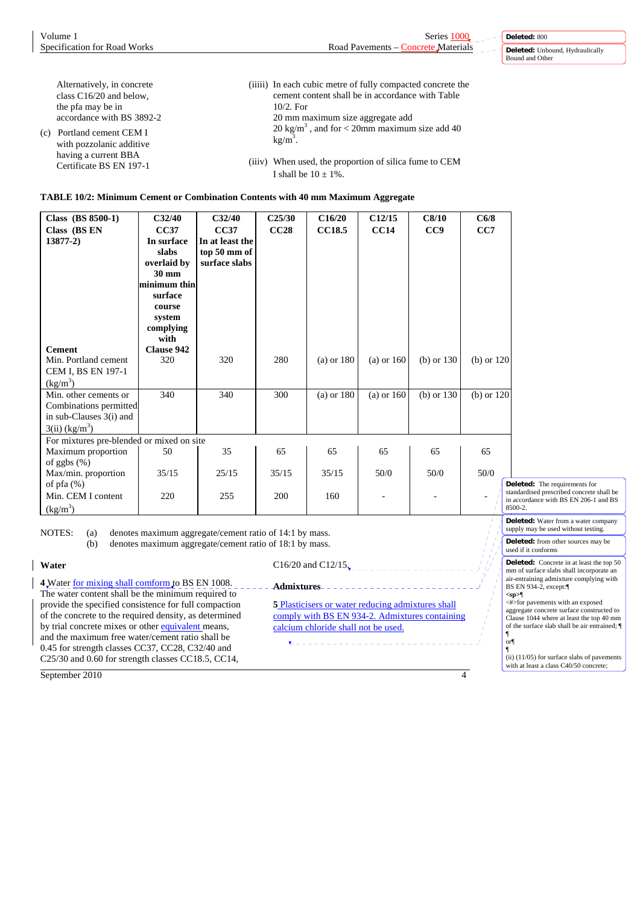| Alternatively, in concrete                      | (iiiii) In each cubic metre of fully compacted concrete the |
|-------------------------------------------------|-------------------------------------------------------------|
| class $C16/20$ and below,                       | cement content shall be in accordance with Table            |
| the pfa may be in                               | $10/2$ . For                                                |
| accordance with BS 3892-2                       | 20 mm maximum size aggregate add                            |
| (c) Portland cement CEM I                       | 20 kg/m <sup>3</sup> , and for < 20mm maximum size add 40   |
| with pozzolanic additive                        | $kg/m3$ .                                                   |
| having a current BBA<br>Certificate BS EN 197-1 | (iiiv) When used, the proportion of silica fume to CEM      |
|                                                 | I shall be $10 \pm 1\%$ .                                   |

# **TABLE 10/2: Minimum Cement or Combination Contents with 40 mm Maximum Aggregate**

| Class (BS 8500-1)                                                                                          | C32/40                             | C32/40                                         | C25/30 | C16/20         | C12/15         | C8/10        | C6/8           |                                                                                               |
|------------------------------------------------------------------------------------------------------------|------------------------------------|------------------------------------------------|--------|----------------|----------------|--------------|----------------|-----------------------------------------------------------------------------------------------|
| Class (BS EN<br>$13877-2)$                                                                                 | <b>CC37</b><br>In surface<br>slabs | <b>CC37</b><br>In at least the<br>top 50 mm of | CC28   | <b>CC18.5</b>  | CC14           | CC9          | CC7            |                                                                                               |
|                                                                                                            | overlaid by<br>30 mm               | surface slabs                                  |        |                |                |              |                |                                                                                               |
|                                                                                                            | minimum thin                       |                                                |        |                |                |              |                |                                                                                               |
|                                                                                                            | surface<br>course                  |                                                |        |                |                |              |                |                                                                                               |
|                                                                                                            | system                             |                                                |        |                |                |              |                |                                                                                               |
|                                                                                                            | complying<br>with                  |                                                |        |                |                |              |                |                                                                                               |
| <b>Cement</b>                                                                                              | <b>Clause 942</b>                  |                                                |        |                |                |              |                |                                                                                               |
| Min. Portland cement                                                                                       | 320                                | 320                                            | 280    | $(a)$ or 180   | $(a)$ or $160$ | $(b)$ or 130 | $(b)$ or $120$ |                                                                                               |
| CEM I, BS EN 197-1<br>$\frac{\text{kg}}{\text{m}^3}$                                                       |                                    |                                                |        |                |                |              |                |                                                                                               |
| Min. other cements or<br>Combinations permitted<br>in sub-Clauses 3(i) and<br>$3(ii)$ (kg/m <sup>3</sup> ) | 340                                | 340                                            | 300    | $(a)$ or $180$ | $(a)$ or 160   | $(b)$ or 130 | $(b)$ or $120$ |                                                                                               |
| For mixtures pre-blended or mixed on site                                                                  |                                    |                                                |        |                |                |              |                |                                                                                               |
| Maximum proportion<br>of ggbs $(\%)$                                                                       | 50                                 | 35                                             | 65     | 65             | 65             | 65           | 65             |                                                                                               |
| Max/min. proportion                                                                                        | 35/15                              | 25/15                                          | 35/15  | 35/15          | 50/0           | 50/0         | 50/0           | Deleted: The requirements for                                                                 |
| of $pfa(\%)$<br>Min. CEM I content<br>$\frac{\text{(kg/m}^3)}{}$                                           | 220                                | 255                                            | 200    | 160            |                |              |                | standardised prescribed concrete shall be<br>in accordance with BS EN 206-1 and BS<br>8500-2. |
|                                                                                                            |                                    |                                                |        |                |                |              |                | Deleted: Water from a water company                                                           |

NOTES: (a) denotes maximum aggregate/cement ratio of 14:1 by mass.

**Water**

(b) denotes maximum aggregate/cement ratio of 18:1 by mass.

**4** Water for mixing shall comform to BS EN 1008. The water content shall be the minimum required to provide the specified consistence for full compaction of the concrete to the required density, as determined by trial concrete mixes or other equivalent means, and the maximum free water/cement ratio shall be 0.45 for strength classes CC37, CC28, C32/40 and C25/30 and 0.60 for strength classes CC18.5, CC14,

**Admixtures 5** Plasticisers or water reducing admixtures shall

C16/20 and C12/15.

comply with BS EN 934-2. Admixtures containing calcium chloride shall not be used.

September 2010 4

supply may be used without testing. **Deleted:** from other sources may be used if it conforms **Deleted:** Concrete in at least the top 50 mm of surface slabs shall incorporate an air-entraining admixture complying with BS EN 934-2, except:¶ **<sp>**¶ <#>for pavements with an exposed

aggregate concrete surface constructed to Clause 1044 where at least the top 40 mm of the surface slab shall be air entrained; ¶ ¶ or¶

 $\parallel$ <br>(ii) (11/05) for surface slabs of pavements with at least a class C40/50 concrete;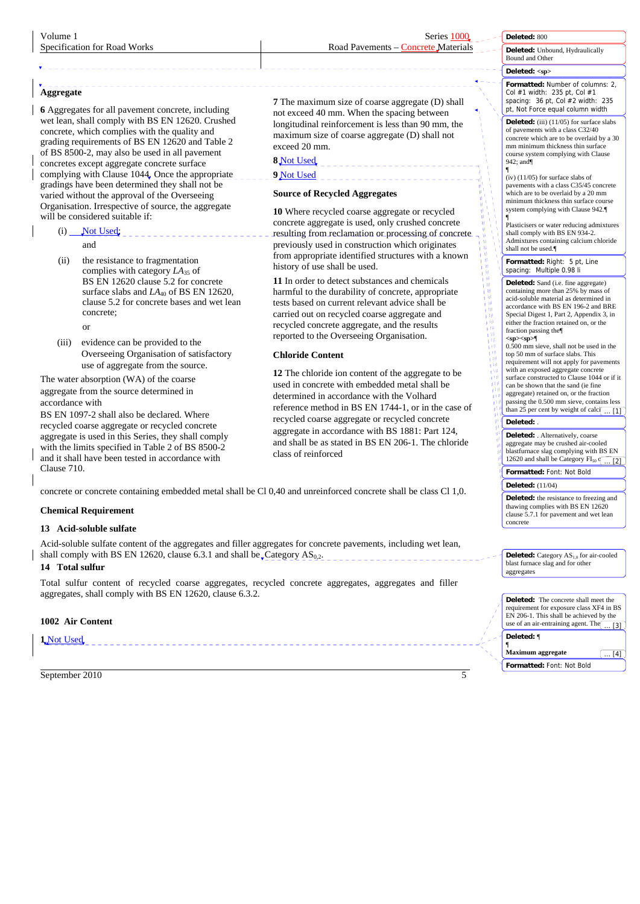# Specification for Road Works Road Pavements – Concrete Materials

**Deleted:** 800

**Deleted:** Unbound, Hydraulically Bound and Other

# **Deleted: <sp>**

**Formatted:** Number of columns: 2, Col #1 width: 235 pt, Col #1 spacing: 36 pt, Col #2 width: 235 pt, Not Force equal column width

**Deleted:** (iii) (11/05) for surface slabs of pavements with a class C32/40 concrete which are to be overlaid by a 30 mm minimum thickness thin surface course system complying with Clause 942; and¶

¶ (iv) (11/05) for surface slabs of pavements with a class C35/45 concrete which are to be overlaid by a 20 mm minimum thickness thin surface course system complying with Clause 942.¶

¶ Plasticisers or water reducing admixtures shall comply with BS EN 934-2. Admixtures containing calcium chloride shall not be used.¶

**Formatted:** Right: 5 pt, Line spacing: Multiple 0.98 li

- イーエートーーー カルバー

"我们的价值也有价值价值价值价值价值

**Deleted:** Sand (i.e. fine aggregate) containing more than 25% by mass of acid-soluble material as determined in accordance with BS EN 196-2 and BRE Special Digest 1, Part 2, Appendix 3, in either the fraction retained on, or the fraction passing the¶ **<sp><sp>**¶

 $0.500$  mm sieve, shall not be used in the top 50 mm of surface slabs. This requirement will not apply for pavements with an exposed aggregate concrete surface constructed to Clause 1044 or if it can be shown that the sand (ie fine aggregate) retained on, or the fraction passing the 0.500 mm sieve, contains less<br>than 25 per cent by weight of calc $\left(\dots\right[1]$ 

#### **Deleted:** .

**Deleted:** . Alternatively, coarse aggregate may be crushed air-cooled blastfurnace slag complying with BS EN 12620 and shall be Category  $FI_{50}$   $\overline{[2]}$ 

**Formatted:** Font: Not Bold **Deleted:** (11/04)

**Deleted:** the resistance to freezing and thawing complies with BS EN 12620 clause 5.7.1 for pavement and wet lean concrete

**Deleted:** Category AS<sub>1,0</sub> for air-cooled blast furnace slag and for other aggregates

| Deleted: The concrete shall meet the<br>requirement for exposure class XF4 in BS<br>EN 206-1. This shall be achieved by the<br>use of an air-entraining agent. The $\overline{\cdots}$ |
|----------------------------------------------------------------------------------------------------------------------------------------------------------------------------------------|
| Deleted: ¶<br><b>Maximum</b> aggregate                                                                                                                                                 |
| Formatted: Font: Not Bold                                                                                                                                                              |

**Aggregate**

**6** Aggregates for all pavement concrete, including wet lean, shall comply with BS EN 12620. Crushed concrete, which complies with the quality and grading requirements of BS EN 12620 and Table 2 of BS 8500-2, may also be used in all pavement concretes except aggregate concrete surface complying with Clause 1044. Once the appropriate gradings have been determined they shall not be varied without the approval of the Overseeing Organisation. Irrespective of source, the aggregate will be considered suitable if:

 $(i)$  Not Used; and

(ii) the resistance to fragmentation complies with category *LA*35 of BS EN 12620 clause 5.2 for concrete surface slabs and *LA*<sub>40</sub> of BS EN 12620, clause 5.2 for concrete bases and wet lean concrete;

or

(iii) evidence can be provided to the Overseeing Organisation of satisfactory use of aggregate from the source.

The water absorption (WA) of the coarse aggregate from the source determined in accordance with

BS EN 1097-2 shall also be declared. Where recycled coarse aggregate or recycled concrete aggregate is used in this Series, they shall comply with the limits specified in Table 2 of BS 8500-2 and it shall have been tested in accordance with

Clause 710.

concrete or concrete containing embedded metal shall be Cl 0,40 and unreinforced concrete shall be class Cl 1,0.

# **Chemical Requirement**

# **13 Acid-soluble sulfate**

Acid-soluble sulfate content of the aggregates and filler aggregates for concrete pavements, including wet lean, shall comply with BS EN 12620, clause 6.3.1 and shall be  $\text{Category AS}_{0,2}$ .

### **14 Total sulfur**

Total sulfur content of recycled coarse aggregates, recycled concrete aggregates, aggregates and filler aggregates, shall comply with BS EN 12620, clause 6.3.2.

### **1002 Air Content**

# **1** Not Used

September 2010 5

**7** The maximum size of coarse aggregate (D) shall not exceed 40 mm. When the spacing between longitudinal reinforcement is less than 90 mm, the maximum size of coarse aggregate (D) shall not exceed 20 mm.

**8** Not Used

# **9** Not Used

# **Source of Recycled Aggregates**

**10** Where recycled coarse aggregate or recycled concrete aggregate is used, only crushed concrete resulting from reclamation or processing of concrete previously used in construction which originates from appropriate identified structures with a known history of use shall be used.

**11** In order to detect substances and chemicals harmful to the durability of concrete, appropriate tests based on current relevant advice shall be carried out on recycled coarse aggregate and recycled concrete aggregate, and the results reported to the Overseeing Organisation.

# **Chloride Content**

**12** The chloride ion content of the aggregate to be used in concrete with embedded metal shall be determined in accordance with the Volhard reference method in BS EN 1744-1, or in the case of recycled coarse aggregate or recycled concrete aggregate in accordance with BS 1881: Part 124, and shall be as stated in BS EN 206-1. The chloride class of reinforced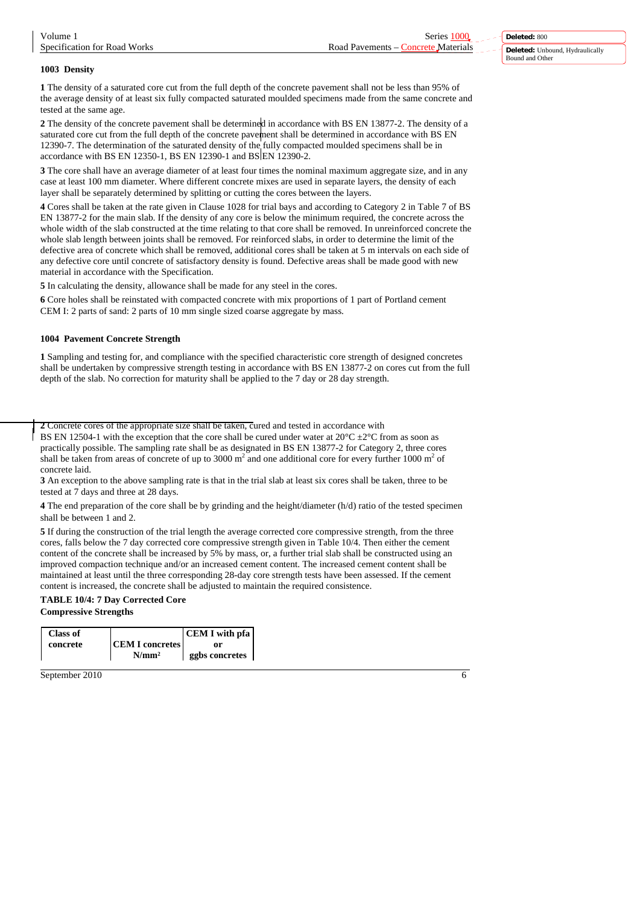#### **1003 Density**

**1** The density of a saturated core cut from the full depth of the concrete pavement shall not be less than 95% of the average density of at least six fully compacted saturated moulded specimens made from the same concrete and tested at the same age.

**2** The density of the concrete pavement shall be determined in accordance with BS EN 13877-2. The density of a saturated core cut from the full depth of the concrete pavement shall be determined in accordance with BS EN 12390-7. The determination of the saturated density of the fully compacted moulded specimens shall be in accordance with BS EN 12350-1, BS EN 12390-1 and BS EN 12390-2.

**3** The core shall have an average diameter of at least four times the nominal maximum aggregate size, and in any case at least 100 mm diameter. Where different concrete mixes are used in separate layers, the density of each layer shall be separately determined by splitting or cutting the cores between the layers.

**4** Cores shall be taken at the rate given in Clause 1028 for trial bays and according to Category 2 in Table 7 of BS EN 13877-2 for the main slab. If the density of any core is below the minimum required, the concrete across the whole width of the slab constructed at the time relating to that core shall be removed. In unreinforced concrete the whole slab length between joints shall be removed. For reinforced slabs, in order to determine the limit of the defective area of concrete which shall be removed, additional cores shall be taken at 5 m intervals on each side of any defective core until concrete of satisfactory density is found. Defective areas shall be made good with new material in accordance with the Specification.

**5** In calculating the density, allowance shall be made for any steel in the cores.

**6** Core holes shall be reinstated with compacted concrete with mix proportions of 1 part of Portland cement CEM I: 2 parts of sand: 2 parts of 10 mm single sized coarse aggregate by mass.

#### **1004 Pavement Concrete Strength**

**1** Sampling and testing for, and compliance with the specified characteristic core strength of designed concretes shall be undertaken by compressive strength testing in accordance with BS EN 13877-2 on cores cut from the full depth of the slab. No correction for maturity shall be applied to the 7 day or 28 day strength.

**2** Concrete cores of the appropriate size shall be taken, cured and tested in accordance with

BS EN 12504-1 with the exception that the core shall be cured under water at  $20^{\circ}C \pm 2^{\circ}C$  from as soon as practically possible. The sampling rate shall be as designated in BS EN 13877-2 for Category 2, three cores shall be taken from areas of concrete of up to 3000 m<sup>2</sup> and one additional core for every further 1000 m<sup>2</sup> of concrete laid.

**3** An exception to the above sampling rate is that in the trial slab at least six cores shall be taken, three to be tested at 7 days and three at 28 days.

**4** The end preparation of the core shall be by grinding and the height/diameter (h/d) ratio of the tested specimen shall be between 1 and 2.

**5** If during the construction of the trial length the average corrected core compressive strength, from the three cores, falls below the 7 day corrected core compressive strength given in Table 10/4. Then either the cement content of the concrete shall be increased by 5% by mass, or, a further trial slab shall be constructed using an improved compaction technique and/or an increased cement content. The increased cement content shall be maintained at least until the three corresponding 28-day core strength tests have been assessed. If the cement content is increased, the concrete shall be adjusted to maintain the required consistence.

#### **TABLE 10/4: 7 Day Corrected Core Compressive Strengths**

| Class of |                        | <b>CEM I</b> with pfa |
|----------|------------------------|-----------------------|
| concrete | <b>CEM I concretes</b> | or                    |
|          | $N/mm^2$               | ggbs concretes        |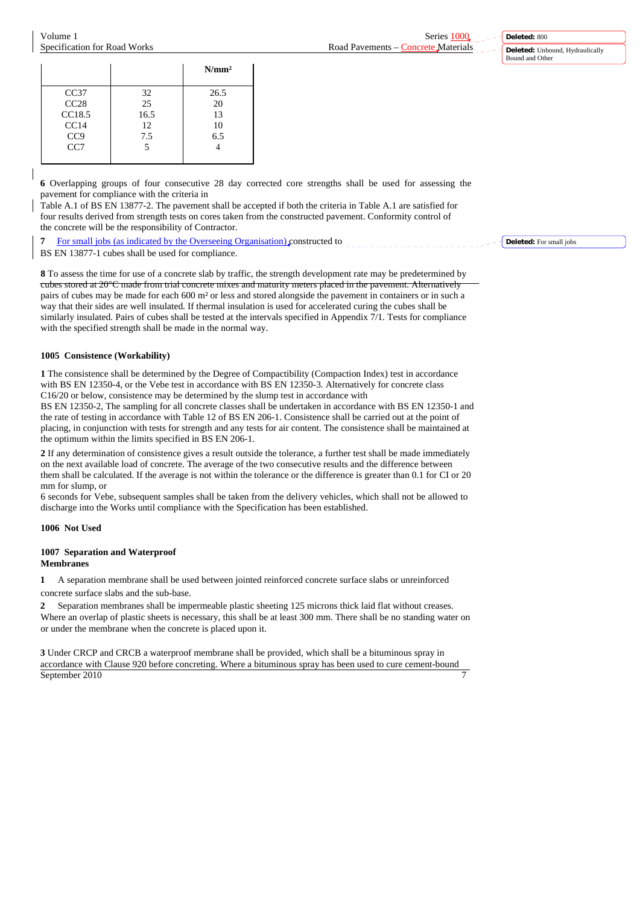**Deleted:** 800 **Deleted:** Unbound, Hydraulically Bound and Other

|                 |      | N/mm <sup>2</sup> |
|-----------------|------|-------------------|
| CC37            | 32   | 26.5              |
| CC28            | 25   | 20                |
| CC18.5          | 16.5 | 13                |
| CC14            | 12   | 10                |
| CC <sub>9</sub> | 7.5  | 6.5               |
| CC7             | 5    |                   |
|                 |      |                   |

**6** Overlapping groups of four consecutive 28 day corrected core strengths shall be used for assessing the pavement for compliance with the criteria in

Table A.1 of BS EN 13877-2. The pavement shall be accepted if both the criteria in Table A.1 are satisfied for four results derived from strength tests on cores taken from the constructed pavement. Conformity control of the concrete will be the responsibility of Contractor.

**7** For small jobs (as indicated by the Overseeing Organisation) constructed to BS EN 13877-1 cubes shall be used for compliance.

**8** To assess the time for use of a concrete slab by traffic, the strength development rate may be predetermined by cubes stored at 20°C made from trial concrete mixes and maturity meters placed in the pavement. Alternatively pairs of cubes may be made for each 600 m² or less and stored alongside the pavement in containers or in such a way that their sides are well insulated. If thermal insulation is used for accelerated curing the cubes shall be similarly insulated. Pairs of cubes shall be tested at the intervals specified in Appendix 7/1. Tests for compliance with the specified strength shall be made in the normal way.

# **1005 Consistence (Workability)**

**1** The consistence shall be determined by the Degree of Compactibility (Compaction Index) test in accordance with BS EN 12350-4, or the Vebe test in accordance with BS EN 12350-3. Alternatively for concrete class C16/20 or below, consistence may be determined by the slump test in accordance with

BS EN 12350-2, The sampling for all concrete classes shall be undertaken in accordance with BS EN 12350-1 and the rate of testing in accordance with Table 12 of BS EN 206-1. Consistence shall be carried out at the point of placing, in conjunction with tests for strength and any tests for air content. The consistence shall be maintained at the optimum within the limits specified in BS EN 206-1.

**2** If any determination of consistence gives a result outside the tolerance, a further test shall be made immediately on the next available load of concrete. The average of the two consecutive results and the difference between them shall be calculated. If the average is not within the tolerance or the difference is greater than 0.1 for CI or 20 mm for slump, or

6 seconds for Vebe, subsequent samples shall be taken from the delivery vehicles, which shall not be allowed to discharge into the Works until compliance with the Specification has been established.

# **1006 Not Used**

#### **1007 Separation and Waterproof Membranes**

**1** A separation membrane shall be used between jointed reinforced concrete surface slabs or unreinforced concrete surface slabs and the sub-base.

**2** Separation membranes shall be impermeable plastic sheeting 125 microns thick laid flat without creases. Where an overlap of plastic sheets is necessary, this shall be at least 300 mm. There shall be no standing water on or under the membrane when the concrete is placed upon it.

September 2010 **3** Under CRCP and CRCB a waterproof membrane shall be provided, which shall be a bituminous spray in accordance with Clause 920 before concreting. Where a bituminous spray has been used to cure cement-bound **Deleted:** For small jobs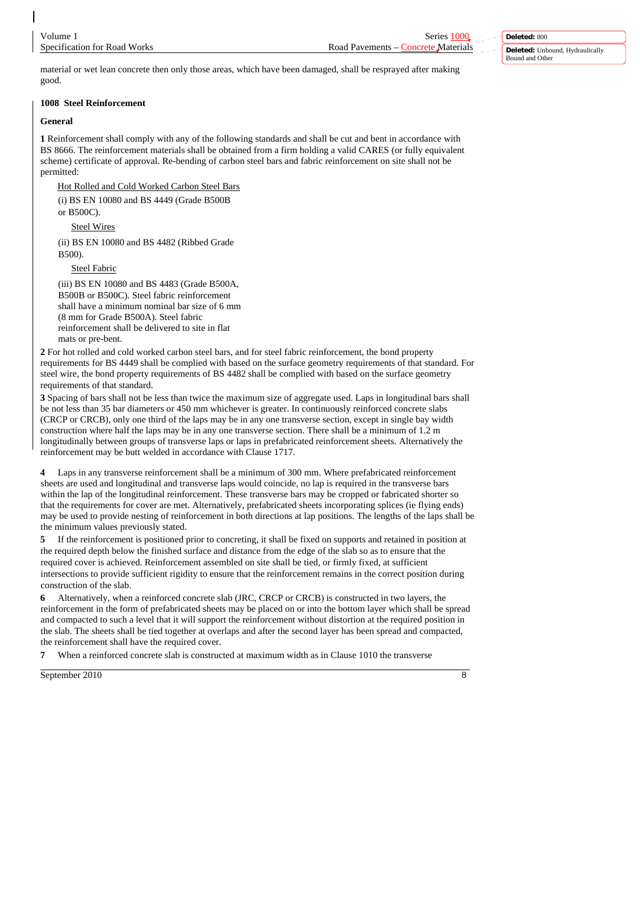**Deleted:** 800 **Deleted:** Unbound, Hydraulically Bound and Other

material or wet lean concrete then only those areas, which have been damaged, shall be resprayed after making good.

# **1008 Steel Reinforcement**

# **General**

**1** Reinforcement shall comply with any of the following standards and shall be cut and bent in accordance with BS 8666. The reinforcement materials shall be obtained from a firm holding a valid CARES (or fully equivalent scheme) certificate of approval. Re-bending of carbon steel bars and fabric reinforcement on site shall not be permitted:

Hot Rolled and Cold Worked Carbon Steel Bars

(i) BS EN 10080 and BS 4449 (Grade B500B

or B500C).

Steel Wires

(ii) BS EN 10080 and BS 4482 (Ribbed Grade B500).

Steel Fabric

(iii) BS EN 10080 and BS 4483 (Grade B500A, B500B or B500C). Steel fabric reinforcement shall have a minimum nominal bar size of 6 mm (8 mm for Grade B500A). Steel fabric reinforcement shall be delivered to site in flat mats or pre-bent.

**2** For hot rolled and cold worked carbon steel bars, and for steel fabric reinforcement, the bond property requirements for BS 4449 shall be complied with based on the surface geometry requirements of that standard. For steel wire, the bond property requirements of BS 4482 shall be complied with based on the surface geometry requirements of that standard.

**3** Spacing of bars shall not be less than twice the maximum size of aggregate used. Laps in longitudinal bars shall be not less than 35 bar diameters or 450 mm whichever is greater. In continuously reinforced concrete slabs (CRCP or CRCB), only one third of the laps may be in any one transverse section, except in single bay width construction where half the laps may be in any one transverse section. There shall be a minimum of 1.2 m longitudinally between groups of transverse laps or laps in prefabricated reinforcement sheets. Alternatively the reinforcement may be butt welded in accordance with Clause 1717.

Laps in any transverse reinforcement shall be a minimum of 300 mm. Where prefabricated reinforcement sheets are used and longitudinal and transverse laps would coincide, no lap is required in the transverse bars within the lap of the longitudinal reinforcement. These transverse bars may be cropped or fabricated shorter so that the requirements for cover are met. Alternatively, prefabricated sheets incorporating splices (ie flying ends) may be used to provide nesting of reinforcement in both directions at lap positions. The lengths of the laps shall be the minimum values previously stated.

**5** If the reinforcement is positioned prior to concreting, it shall be fixed on supports and retained in position at the required depth below the finished surface and distance from the edge of the slab so as to ensure that the required cover is achieved. Reinforcement assembled on site shall be tied, or firmly fixed, at sufficient intersections to provide sufficient rigidity to ensure that the reinforcement remains in the correct position during construction of the slab.

**6** Alternatively, when a reinforced concrete slab (JRC, CRCP or CRCB) is constructed in two layers, the reinforcement in the form of prefabricated sheets may be placed on or into the bottom layer which shall be spread and compacted to such a level that it will support the reinforcement without distortion at the required position in the slab. The sheets shall be tied together at overlaps and after the second layer has been spread and compacted, the reinforcement shall have the required cover.

When a reinforced concrete slab is constructed at maximum width as in Clause 1010 the transverse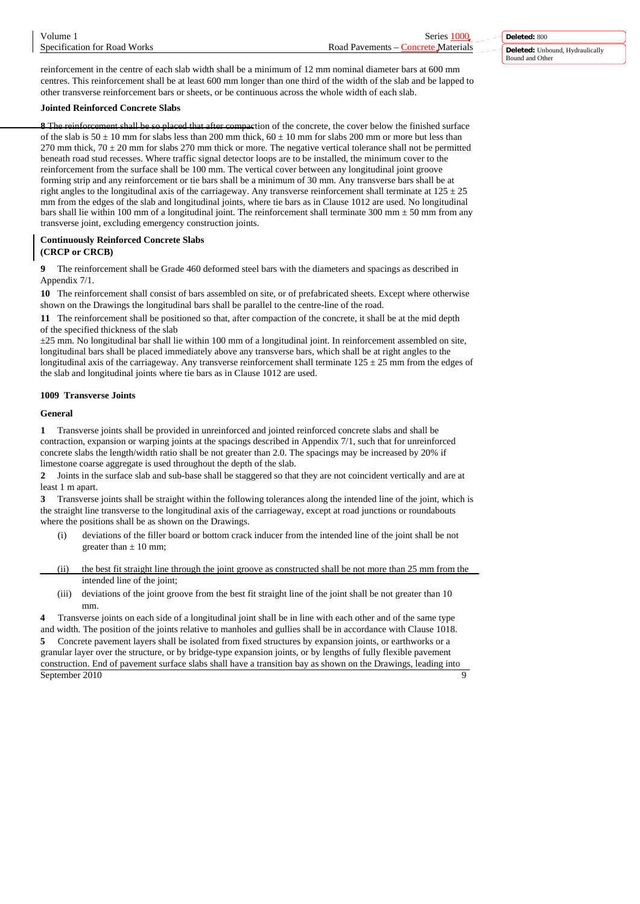reinforcement in the centre of each slab width shall be a minimum of 12 mm nominal diameter bars at 600 mm centres. This reinforcement shall be at least 600 mm longer than one third of the width of the slab and be lapped to other transverse reinforcement bars or sheets, or be continuous across the whole width of each slab.

### **Jointed Reinforced Concrete Slabs**

**8** The reinforcement shall be so placed that after compaction of the concrete, the cover below the finished surface of the slab is  $50 \pm 10$  mm for slabs less than 200 mm thick,  $60 \pm 10$  mm for slabs 200 mm or more but less than 270 mm thick,  $70 \pm 20$  mm for slabs 270 mm thick or more. The negative vertical tolerance shall not be permitted beneath road stud recesses. Where traffic signal detector loops are to be installed, the minimum cover to the reinforcement from the surface shall be 100 mm. The vertical cover between any longitudinal joint groove forming strip and any reinforcement or tie bars shall be a minimum of 30 mm. Any transverse bars shall be at right angles to the longitudinal axis of the carriageway. Any transverse reinforcement shall terminate at  $125 \pm 25$ mm from the edges of the slab and longitudinal joints, where tie bars as in Clause 1012 are used. No longitudinal bars shall lie within 100 mm of a longitudinal joint. The reinforcement shall terminate 300 mm  $\pm$  50 mm from any transverse joint, excluding emergency construction joints.

## **Continuously Reinforced Concrete Slabs (CRCP or CRCB)**

**9** The reinforcement shall be Grade 460 deformed steel bars with the diameters and spacings as described in Appendix 7/1.

**10** The reinforcement shall consist of bars assembled on site, or of prefabricated sheets. Except where otherwise shown on the Drawings the longitudinal bars shall be parallel to the centre-line of the road.

**11** The reinforcement shall be positioned so that, after compaction of the concrete, it shall be at the mid depth of the specified thickness of the slab

 $\pm 25$  mm. No longitudinal bar shall lie within 100 mm of a longitudinal joint. In reinforcement assembled on site, longitudinal bars shall be placed immediately above any transverse bars, which shall be at right angles to the longitudinal axis of the carriageway. Any transverse reinforcement shall terminate  $125 \pm 25$  mm from the edges of the slab and longitudinal joints where tie bars as in Clause 1012 are used.

# **1009 Transverse Joints**

### **General**

**1** Transverse joints shall be provided in unreinforced and jointed reinforced concrete slabs and shall be contraction, expansion or warping joints at the spacings described in Appendix 7/1, such that for unreinforced concrete slabs the length/width ratio shall be not greater than 2.0. The spacings may be increased by 20% if limestone coarse aggregate is used throughout the depth of the slab.

**2** Joints in the surface slab and sub-base shall be staggered so that they are not coincident vertically and are at least 1 m apart.

**3** Transverse joints shall be straight within the following tolerances along the intended line of the joint, which is the straight line transverse to the longitudinal axis of the carriageway, except at road junctions or roundabouts where the positions shall be as shown on the Drawings.

- deviations of the filler board or bottom crack inducer from the intended line of the joint shall be not greater than  $\pm$  10 mm;
- (ii) the best fit straight line through the joint groove as constructed shall be not more than 25 mm from the intended line of the joint;
	- (iii) deviations of the joint groove from the best fit straight line of the joint shall be not greater than 10 mm.

September 2010 9 **4** Transverse joints on each side of a longitudinal joint shall be in line with each other and of the same type and width. The position of the joints relative to manholes and gullies shall be in accordance with Clause 1018. **5** Concrete pavement layers shall be isolated from fixed structures by expansion joints, or earthworks or a granular layer over the structure, or by bridge-type expansion joints, or by lengths of fully flexible pavement construction. End of pavement surface slabs shall have a transition bay as shown on the Drawings, leading into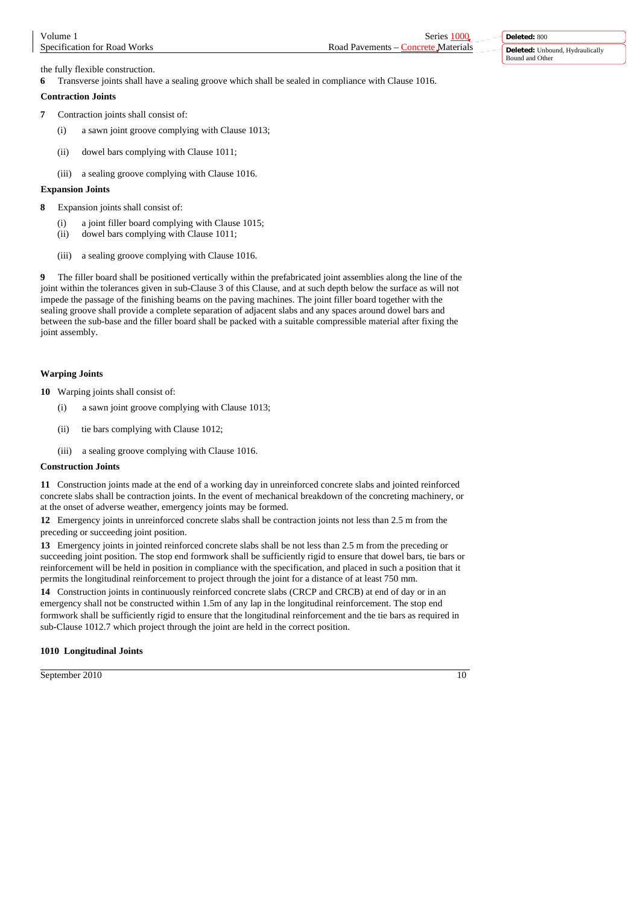**Deleted:** 800 **Deleted:** Unbound, Hydraulically Bound and Other

the fully flexible construction.

**6** Transverse joints shall have a sealing groove which shall be sealed in compliance with Clause 1016.

# **Contraction Joints**

- **7** Contraction joints shall consist of:
	- (i) a sawn joint groove complying with Clause 1013;
	- (ii) dowel bars complying with Clause 1011;
	- (iii) a sealing groove complying with Clause 1016.

# **Expansion Joints**

- **8** Expansion joints shall consist of:
	- (i) a joint filler board complying with Clause 1015;
	- (ii) dowel bars complying with Clause 1011;
	- (iii) a sealing groove complying with Clause 1016.

**9** The filler board shall be positioned vertically within the prefabricated joint assemblies along the line of the joint within the tolerances given in sub-Clause 3 of this Clause, and at such depth below the surface as will not impede the passage of the finishing beams on the paving machines. The joint filler board together with the sealing groove shall provide a complete separation of adjacent slabs and any spaces around dowel bars and between the sub-base and the filler board shall be packed with a suitable compressible material after fixing the joint assembly.

# **Warping Joints**

- **10** Warping joints shall consist of:
	- (i) a sawn joint groove complying with Clause 1013;
	- (ii) tie bars complying with Clause 1012;
	- (iii) a sealing groove complying with Clause 1016.

# **Construction Joints**

**11** Construction joints made at the end of a working day in unreinforced concrete slabs and jointed reinforced concrete slabs shall be contraction joints. In the event of mechanical breakdown of the concreting machinery, or at the onset of adverse weather, emergency joints may be formed.

**12** Emergency joints in unreinforced concrete slabs shall be contraction joints not less than 2.5 m from the preceding or succeeding joint position.

**13** Emergency joints in jointed reinforced concrete slabs shall be not less than 2.5 m from the preceding or succeeding joint position. The stop end formwork shall be sufficiently rigid to ensure that dowel bars, tie bars or reinforcement will be held in position in compliance with the specification, and placed in such a position that it permits the longitudinal reinforcement to project through the joint for a distance of at least 750 mm.

**14** Construction joints in continuously reinforced concrete slabs (CRCP and CRCB) at end of day or in an emergency shall not be constructed within 1.5m of any lap in the longitudinal reinforcement. The stop end formwork shall be sufficiently rigid to ensure that the longitudinal reinforcement and the tie bars as required in sub-Clause 1012.7 which project through the joint are held in the correct position.

# **1010 Longitudinal Joints**

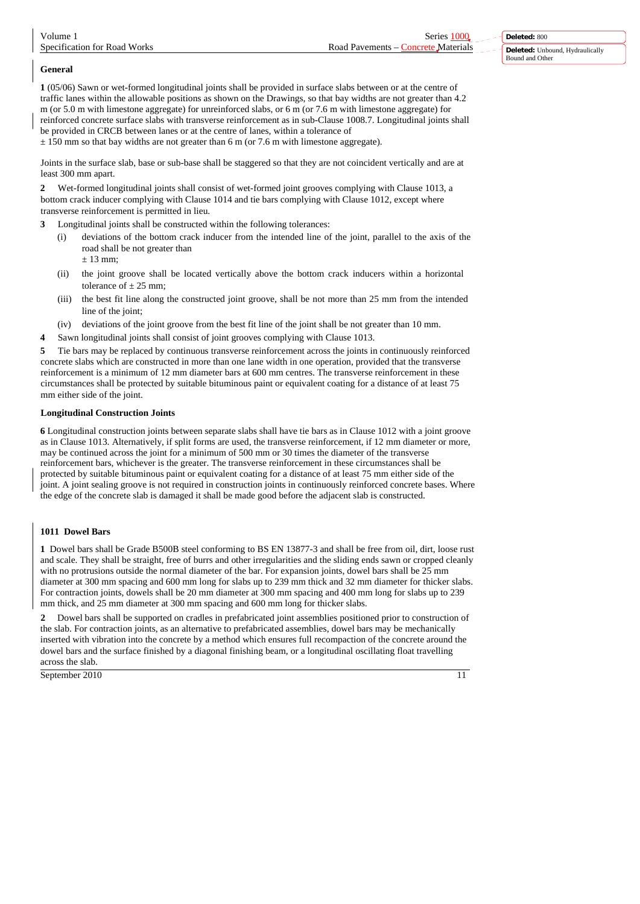# **General**

**1** (05/06) Sawn or wet-formed longitudinal joints shall be provided in surface slabs between or at the centre of traffic lanes within the allowable positions as shown on the Drawings, so that bay widths are not greater than 4.2 m (or 5.0 m with limestone aggregate) for unreinforced slabs, or 6 m (or 7.6 m with limestone aggregate) for reinforced concrete surface slabs with transverse reinforcement as in sub-Clause 1008.7. Longitudinal joints shall be provided in CRCB between lanes or at the centre of lanes, within a tolerance of

 $\pm$  150 mm so that bay widths are not greater than 6 m (or 7.6 m with limestone aggregate).

Joints in the surface slab, base or sub-base shall be staggered so that they are not coincident vertically and are at least 300 mm apart.

**2** Wet-formed longitudinal joints shall consist of wet-formed joint grooves complying with Clause 1013, a bottom crack inducer complying with Clause 1014 and tie bars complying with Clause 1012, except where transverse reinforcement is permitted in lieu.

**3** Longitudinal joints shall be constructed within the following tolerances:

(i) deviations of the bottom crack inducer from the intended line of the joint, parallel to the axis of the road shall be not greater than

 $± 13$  mm;

- (ii) the joint groove shall be located vertically above the bottom crack inducers within a horizontal tolerance of  $\pm$  25 mm;
- (iii) the best fit line along the constructed joint groove, shall be not more than 25 mm from the intended line of the joint:
- (iv) deviations of the joint groove from the best fit line of the joint shall be not greater than 10 mm.
- **4** Sawn longitudinal joints shall consist of joint grooves complying with Clause 1013.

**5** Tie bars may be replaced by continuous transverse reinforcement across the joints in continuously reinforced concrete slabs which are constructed in more than one lane width in one operation, provided that the transverse reinforcement is a minimum of 12 mm diameter bars at 600 mm centres. The transverse reinforcement in these circumstances shall be protected by suitable bituminous paint or equivalent coating for a distance of at least 75 mm either side of the joint.

# **Longitudinal Construction Joints**

**6** Longitudinal construction joints between separate slabs shall have tie bars as in Clause 1012 with a joint groove as in Clause 1013. Alternatively, if split forms are used, the transverse reinforcement, if 12 mm diameter or more, may be continued across the joint for a minimum of 500 mm or 30 times the diameter of the transverse reinforcement bars, whichever is the greater. The transverse reinforcement in these circumstances shall be protected by suitable bituminous paint or equivalent coating for a distance of at least 75 mm either side of the joint. A joint sealing groove is not required in construction joints in continuously reinforced concrete bases. Where the edge of the concrete slab is damaged it shall be made good before the adjacent slab is constructed.

# **1011 Dowel Bars**

**1** Dowel bars shall be Grade B500B steel conforming to BS EN 13877-3 and shall be free from oil, dirt, loose rust and scale. They shall be straight, free of burrs and other irregularities and the sliding ends sawn or cropped cleanly with no protrusions outside the normal diameter of the bar. For expansion joints, dowel bars shall be 25 mm diameter at 300 mm spacing and 600 mm long for slabs up to 239 mm thick and 32 mm diameter for thicker slabs. For contraction joints, dowels shall be 20 mm diameter at 300 mm spacing and 400 mm long for slabs up to 239 mm thick, and 25 mm diameter at 300 mm spacing and 600 mm long for thicker slabs.

**2** Dowel bars shall be supported on cradles in prefabricated joint assemblies positioned prior to construction of the slab. For contraction joints, as an alternative to prefabricated assemblies, dowel bars may be mechanically inserted with vibration into the concrete by a method which ensures full recompaction of the concrete around the dowel bars and the surface finished by a diagonal finishing beam, or a longitudinal oscillating float travelling across the slab.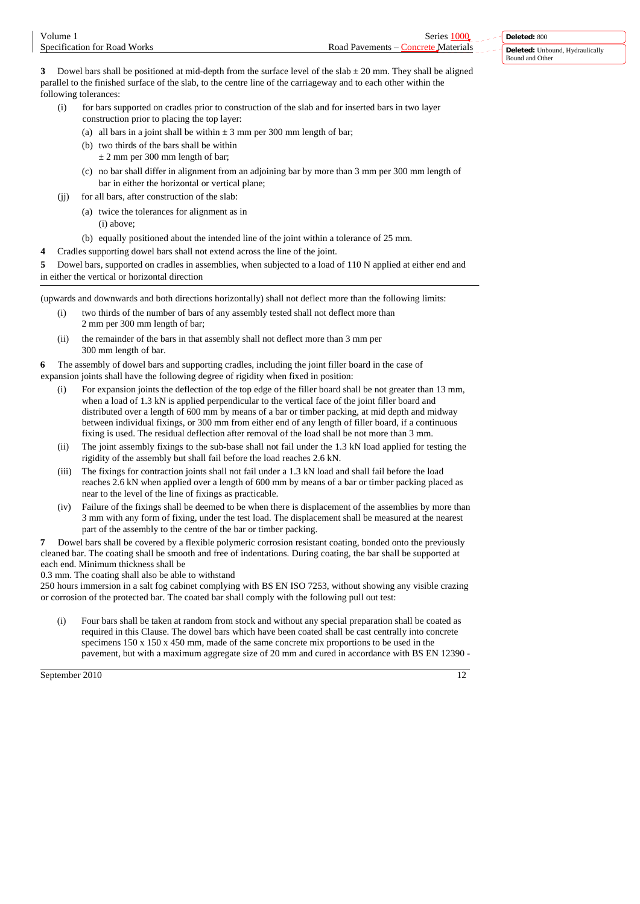| Volume                       | Series                                             | Deleted: 800                           |
|------------------------------|----------------------------------------------------|----------------------------------------|
| Specification for Road Works | Road Pavements $-$<br>Materials<br><b>Concrete</b> | <b>Deleted:</b> Unbound, Hydraulically |
|                              |                                                    | Bound and Other                        |

**3** Dowel bars shall be positioned at mid-depth from the surface level of the slab ± 20 mm. They shall be aligned parallel to the finished surface of the slab, to the centre line of the carriageway and to each other within the following tolerances:

- (i) for bars supported on cradles prior to construction of the slab and for inserted bars in two layer construction prior to placing the top layer:
	- (a) all bars in a joint shall be within  $\pm 3$  mm per 300 mm length of bar;
	- (b) two thirds of the bars shall be within
		- $\pm$  2 mm per 300 mm length of bar;
	- (c) no bar shall differ in alignment from an adjoining bar by more than 3 mm per 300 mm length of bar in either the horizontal or vertical plane;
- (ii) for all bars, after construction of the slab:
	- (a) twice the tolerances for alignment as in (i) above;
	- (b) equally positioned about the intended line of the joint within a tolerance of 25 mm.
- **4** Cradles supporting dowel bars shall not extend across the line of the joint.

**5** Dowel bars, supported on cradles in assemblies, when subjected to a load of 110 N applied at either end and in either the vertical or horizontal direction

(upwards and downwards and both directions horizontally) shall not deflect more than the following limits:

- (i) two thirds of the number of bars of any assembly tested shall not deflect more than 2 mm per 300 mm length of bar;
- (ii) the remainder of the bars in that assembly shall not deflect more than 3 mm per 300 mm length of bar.

**6** The assembly of dowel bars and supporting cradles, including the joint filler board in the case of expansion joints shall have the following degree of rigidity when fixed in position:

- For expansion joints the deflection of the top edge of the filler board shall be not greater than 13 mm, when a load of 1.3 kN is applied perpendicular to the vertical face of the joint filler board and distributed over a length of 600 mm by means of a bar or timber packing, at mid depth and midway between individual fixings, or 300 mm from either end of any length of filler board, if a continuous fixing is used. The residual deflection after removal of the load shall be not more than 3 mm.
- (ii) The joint assembly fixings to the sub-base shall not fail under the 1.3 kN load applied for testing the rigidity of the assembly but shall fail before the load reaches 2.6 kN.
- (iii) The fixings for contraction joints shall not fail under a 1.3 kN load and shall fail before the load reaches 2.6 kN when applied over a length of 600 mm by means of a bar or timber packing placed as near to the level of the line of fixings as practicable.
- (iv) Failure of the fixings shall be deemed to be when there is displacement of the assemblies by more than 3 mm with any form of fixing, under the test load. The displacement shall be measured at the nearest part of the assembly to the centre of the bar or timber packing.

**7** Dowel bars shall be covered by a flexible polymeric corrosion resistant coating, bonded onto the previously cleaned bar. The coating shall be smooth and free of indentations. During coating, the bar shall be supported at each end. Minimum thickness shall be

0.3 mm. The coating shall also be able to withstand

250 hours immersion in a salt fog cabinet complying with BS EN ISO 7253, without showing any visible crazing or corrosion of the protected bar. The coated bar shall comply with the following pull out test:

(i) Four bars shall be taken at random from stock and without any special preparation shall be coated as required in this Clause. The dowel bars which have been coated shall be cast centrally into concrete specimens 150 x 150 x 450 mm, made of the same concrete mix proportions to be used in the pavement, but with a maximum aggregate size of 20 mm and cured in accordance with BS EN 12390 -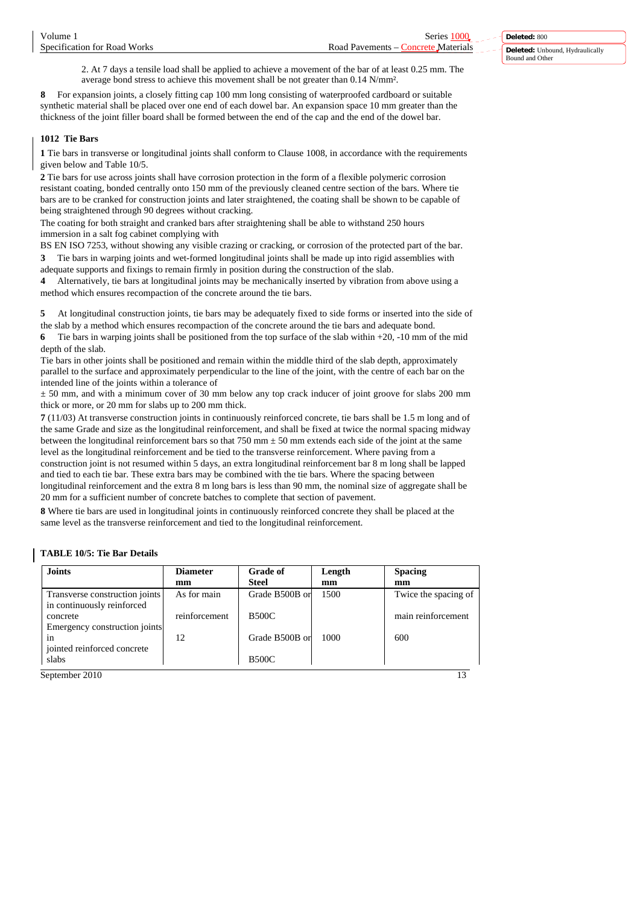2. At 7 days a tensile load shall be applied to achieve a movement of the bar of at least 0.25 mm. The average bond stress to achieve this movement shall be not greater than 0.14 N/mm².

**8** For expansion joints, a closely fitting cap 100 mm long consisting of waterproofed cardboard or suitable synthetic material shall be placed over one end of each dowel bar. An expansion space 10 mm greater than the thickness of the joint filler board shall be formed between the end of the cap and the end of the dowel bar.

# **1012 Tie Bars**

**1** Tie bars in transverse or longitudinal joints shall conform to Clause 1008, in accordance with the requirements given below and Table 10/5.

**2** Tie bars for use across joints shall have corrosion protection in the form of a flexible polymeric corrosion resistant coating, bonded centrally onto 150 mm of the previously cleaned centre section of the bars. Where tie bars are to be cranked for construction joints and later straightened, the coating shall be shown to be capable of being straightened through 90 degrees without cracking.

The coating for both straight and cranked bars after straightening shall be able to withstand 250 hours immersion in a salt fog cabinet complying with

BS EN ISO 7253, without showing any visible crazing or cracking, or corrosion of the protected part of the bar. **3** Tie bars in warping joints and wet-formed longitudinal joints shall be made up into rigid assemblies with adequate supports and fixings to remain firmly in position during the construction of the slab.

**4** Alternatively, tie bars at longitudinal joints may be mechanically inserted by vibration from above using a method which ensures recompaction of the concrete around the tie bars.

**5** At longitudinal construction joints, tie bars may be adequately fixed to side forms or inserted into the side of the slab by a method which ensures recompaction of the concrete around the tie bars and adequate bond.

**6** Tie bars in warping joints shall be positioned from the top surface of the slab within +20, -10 mm of the mid depth of the slab.

Tie bars in other joints shall be positioned and remain within the middle third of the slab depth, approximately parallel to the surface and approximately perpendicular to the line of the joint, with the centre of each bar on the intended line of the joints within a tolerance of

 $\pm$  50 mm, and with a minimum cover of 30 mm below any top crack inducer of joint groove for slabs 200 mm thick or more, or 20 mm for slabs up to 200 mm thick.

**7** (11/03) At transverse construction joints in continuously reinforced concrete, tie bars shall be 1.5 m long and of the same Grade and size as the longitudinal reinforcement, and shall be fixed at twice the normal spacing midway between the longitudinal reinforcement bars so that 750 mm ± 50 mm extends each side of the joint at the same level as the longitudinal reinforcement and be tied to the transverse reinforcement. Where paving from a construction joint is not resumed within 5 days, an extra longitudinal reinforcement bar 8 m long shall be lapped and tied to each tie bar. These extra bars may be combined with the tie bars. Where the spacing between longitudinal reinforcement and the extra 8 m long bars is less than 90 mm, the nominal size of aggregate shall be 20 mm for a sufficient number of concrete batches to complete that section of pavement.

**8** Where tie bars are used in longitudinal joints in continuously reinforced concrete they shall be placed at the same level as the transverse reinforcement and tied to the longitudinal reinforcement.

# **TABLE 10/5: Tie Bar Details**

| <b>Joints</b>                                                | <b>Diameter</b> | <b>Grade of</b> | Length | <b>Spacing</b>       |
|--------------------------------------------------------------|-----------------|-----------------|--------|----------------------|
|                                                              | mm              | <b>Steel</b>    | mm     | mm                   |
| Transverse construction joints<br>in continuously reinforced | As for main     | Grade B500B or  | 1500   | Twice the spacing of |
| concrete<br>Emergency construction joints                    | reinforcement   | <b>B500C</b>    |        | main reinforcement   |
| in<br>jointed reinforced concrete                            | 12              | Grade B500B or  | 1000   | 600                  |
| slabs                                                        |                 | <b>B500C</b>    |        |                      |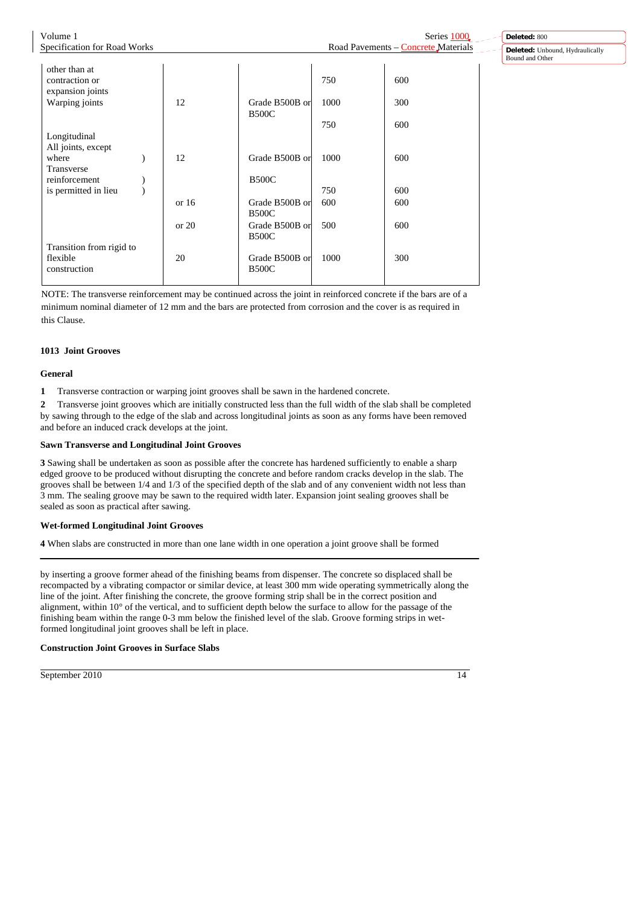Volume 1 Series 1000 Specification for Road Works Road Pavements – Concrete Materials other than at contraction or 750 600 expansion joints Warping joints 12 Grade B500B or 1000 300 B500C 1 750 600 Longitudinal All joints, except where  $\begin{array}{|c|c|c|c|c|c|c|c|c|} \hline \text{where} & 12 & \text{Grade B500B or} & 1000 & 600 \hline \end{array}$ Transverse reinforcement ) Constant in the B500C is permitted in lieu ) 750 600 or 16 Grade B500B or 600 600 600 B500C or 20 Grade B500B or 500 600 **B500C** Transition from rigid to flexible 20 Grade B500B or 1000 300 construction B500C

NOTE: The transverse reinforcement may be continued across the joint in reinforced concrete if the bars are of a minimum nominal diameter of 12 mm and the bars are protected from corrosion and the cover is as required in this Clause.

# **1013 Joint Grooves**

# **General**

**1** Transverse contraction or warping joint grooves shall be sawn in the hardened concrete.

**2** Transverse joint grooves which are initially constructed less than the full width of the slab shall be completed by sawing through to the edge of the slab and across longitudinal joints as soon as any forms have been removed and before an induced crack develops at the joint.

# **Sawn Transverse and Longitudinal Joint Grooves**

**3** Sawing shall be undertaken as soon as possible after the concrete has hardened sufficiently to enable a sharp edged groove to be produced without disrupting the concrete and before random cracks develop in the slab. The grooves shall be between 1/4 and 1/3 of the specified depth of the slab and of any convenient width not less than 3 mm. The sealing groove may be sawn to the required width later. Expansion joint sealing grooves shall be sealed as soon as practical after sawing.

# **Wet-formed Longitudinal Joint Grooves**

**4** When slabs are constructed in more than one lane width in one operation a joint groove shall be formed

by inserting a groove former ahead of the finishing beams from dispenser. The concrete so displaced shall be recompacted by a vibrating compactor or similar device, at least 300 mm wide operating symmetrically along the line of the joint. After finishing the concrete, the groove forming strip shall be in the correct position and alignment, within 10° of the vertical, and to sufficient depth below the surface to allow for the passage of the finishing beam within the range 0-3 mm below the finished level of the slab. Groove forming strips in wetformed longitudinal joint grooves shall be left in place.

# **Construction Joint Grooves in Surface Slabs**

September 2010 14

**Deleted:** 800 **Deleted:** Unbound, Hydraulically Bound and Other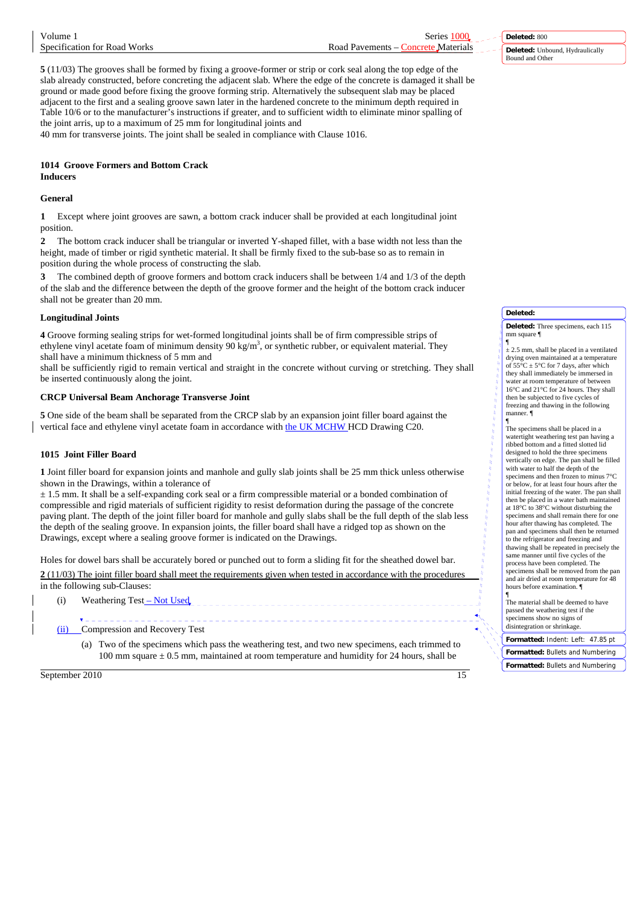| Volume 1                     | Series 1000                        |
|------------------------------|------------------------------------|
| Specification for Road Works | Road Pavements – Concrete Material |

**Deleted:** 800 **Deleted:** Unbound, Hydraulically Bound and Other

**5** (11/03) The grooves shall be formed by fixing a groove-former or strip or cork seal along the top edge of the slab already constructed, before concreting the adjacent slab. Where the edge of the concrete is damaged it shall be ground or made good before fixing the groove forming strip. Alternatively the subsequent slab may be placed adjacent to the first and a sealing groove sawn later in the hardened concrete to the minimum depth required in Table 10/6 or to the manufacturer's instructions if greater, and to sufficient width to eliminate minor spalling of the joint arris, up to a maximum of 25 mm for longitudinal joints and 40 mm for transverse joints. The joint shall be sealed in compliance with Clause 1016.

## **1014 Groove Formers and Bottom Crack Inducers**

# **General**

**1** Except where joint grooves are sawn, a bottom crack inducer shall be provided at each longitudinal joint position.

**2** The bottom crack inducer shall be triangular or inverted Y-shaped fillet, with a base width not less than the height, made of timber or rigid synthetic material. It shall be firmly fixed to the sub-base so as to remain in position during the whole process of constructing the slab.

**3** The combined depth of groove formers and bottom crack inducers shall be between 1/4 and 1/3 of the depth of the slab and the difference between the depth of the groove former and the height of the bottom crack inducer shall not be greater than 20 mm.

# **Longitudinal Joints**

**4** Groove forming sealing strips for wet-formed longitudinal joints shall be of firm compressible strips of ethylene vinyl acetate foam of minimum density  $90 \text{ kg/m}^3$ , or synthetic rubber, or equivalent material. They shall have a minimum thickness of 5 mm and

shall be sufficiently rigid to remain vertical and straight in the concrete without curving or stretching. They shall be inserted continuously along the joint.

# **CRCP Universal Beam Anchorage Transverse Joint**

**5** One side of the beam shall be separated from the CRCP slab by an expansion joint filler board against the vertical face and ethylene vinyl acetate foam in accordance with the UK MCHW HCD Drawing C20.

# **1015 Joint Filler Board**

**1** Joint filler board for expansion joints and manhole and gully slab joints shall be 25 mm thick unless otherwise shown in the Drawings, within a tolerance of

 $\pm$  1.5 mm. It shall be a self-expanding cork seal or a firm compressible material or a bonded combination of compressible and rigid materials of sufficient rigidity to resist deformation during the passage of the concrete paving plant. The depth of the joint filler board for manhole and gully slabs shall be the full depth of the slab less the depth of the sealing groove. In expansion joints, the filler board shall have a ridged top as shown on the Drawings, except where a sealing groove former is indicated on the Drawings.

Holes for dowel bars shall be accurately bored or punched out to form a sliding fit for the sheathed dowel bar. **2** (11/03) The joint filler board shall meet the requirements given when tested in accordance with the procedures in the following sub-Clauses:

(i) Weathering Test – Not Used

j Compression and Recovery Test

> (a) Two of the specimens which pass the weathering test, and two new specimens, each trimmed to 100 mm square  $\pm$  0.5 mm, maintained at room temperature and humidity for 24 hours, shall be

#### **Deleted:**

**Deleted:** Three specimens, each 115 mm square ¶

 $\frac{q}{q}$  ± 2.5 mm, shall be placed in a ventilated drying oven maintained at a temperature<br>of  $55^{\circ}$ C  $\pm$  5°C for 7 days, after which they shall immediately be immersed in water at room temperature of between 16°C and 21°C for 24 hours. They shall then be subjected to five cycles of freezing and thawing in the following manner. ¶

¶ The specimens shall be placed in a watertight weathering test pan having a ribbed bottom and a fitted slotted lid designed to hold the three specimens vertically on edge. The pan shall be filled with water to half the depth of the specimens and then frozen to minus 7°C or below, for at least four hours after the initial freezing of the water. The pan shall then be placed in a water bath maintained at 18°C to 38°C without disturbing the specimens and shall remain there for one hour after thawing has completed. The pan and specimens shall then be returned to the refrigerator and freezing and thawing shall be repeated in precisely the same manner until five cycles of the process have been completed. The specimens shall be removed from the pan and air dried at room temperature for 48 hours before examination. ¶

¶ The material shall be deemed to have passed the weathering test if the specimens show no signs of disintegration or shrinkage.

**Formatted:** Indent: Left: 47.85 pt **Formatted:** Bullets and Numbering **Formatted:** Bullets and Numbering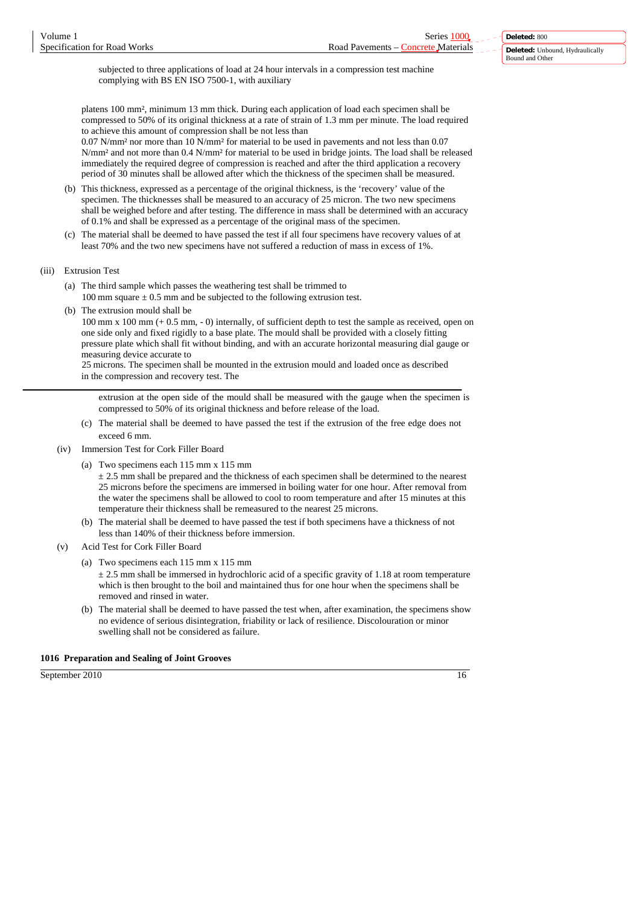subjected to three applications of load at 24 hour intervals in a compression test machine complying with BS EN ISO 7500-1, with auxiliary

platens 100 mm², minimum 13 mm thick. During each application of load each specimen shall be compressed to 50% of its original thickness at a rate of strain of 1.3 mm per minute. The load required to achieve this amount of compression shall be not less than

0.07 N/mm² nor more than 10 N/mm² for material to be used in pavements and not less than 0.07 N/mm² and not more than 0.4 N/mm² for material to be used in bridge joints. The load shall be released immediately the required degree of compression is reached and after the third application a recovery period of 30 minutes shall be allowed after which the thickness of the specimen shall be measured.

- (b) This thickness, expressed as a percentage of the original thickness, is the 'recovery' value of the specimen. The thicknesses shall be measured to an accuracy of 25 micron. The two new specimens shall be weighed before and after testing. The difference in mass shall be determined with an accuracy of 0.1% and shall be expressed as a percentage of the original mass of the specimen.
- (c) The material shall be deemed to have passed the test if all four specimens have recovery values of at least 70% and the two new specimens have not suffered a reduction of mass in excess of 1%.
- (iii) Extrusion Test
	- (a) The third sample which passes the weathering test shall be trimmed to 100 mm square  $\pm$  0.5 mm and be subjected to the following extrusion test.
	- (b) The extrusion mould shall be

100 mm x 100 mm (+ 0.5 mm, - 0) internally, of sufficient depth to test the sample as received, open on one side only and fixed rigidly to a base plate. The mould shall be provided with a closely fitting pressure plate which shall fit without binding, and with an accurate horizontal measuring dial gauge or measuring device accurate to

25 microns. The specimen shall be mounted in the extrusion mould and loaded once as described in the compression and recovery test. The

extrusion at the open side of the mould shall be measured with the gauge when the specimen is compressed to 50% of its original thickness and before release of the load.

- (c) The material shall be deemed to have passed the test if the extrusion of the free edge does not exceed 6 mm.
- (iv) Immersion Test for Cork Filler Board
	- (a) Two specimens each 115 mm x 115 mm

 $\pm$  2.5 mm shall be prepared and the thickness of each specimen shall be determined to the nearest 25 microns before the specimens are immersed in boiling water for one hour. After removal from the water the specimens shall be allowed to cool to room temperature and after 15 minutes at this temperature their thickness shall be remeasured to the nearest 25 microns.

- (b) The material shall be deemed to have passed the test if both specimens have a thickness of not less than 140% of their thickness before immersion.
- (v) Acid Test for Cork Filler Board
	- (a) Two specimens each 115 mm x 115 mm

 $\pm$  2.5 mm shall be immersed in hydrochloric acid of a specific gravity of 1.18 at room temperature which is then brought to the boil and maintained thus for one hour when the specimens shall be removed and rinsed in water.

(b) The material shall be deemed to have passed the test when, after examination, the specimens show no evidence of serious disintegration, friability or lack of resilience. Discolouration or minor swelling shall not be considered as failure.

#### **1016 Preparation and Sealing of Joint Grooves**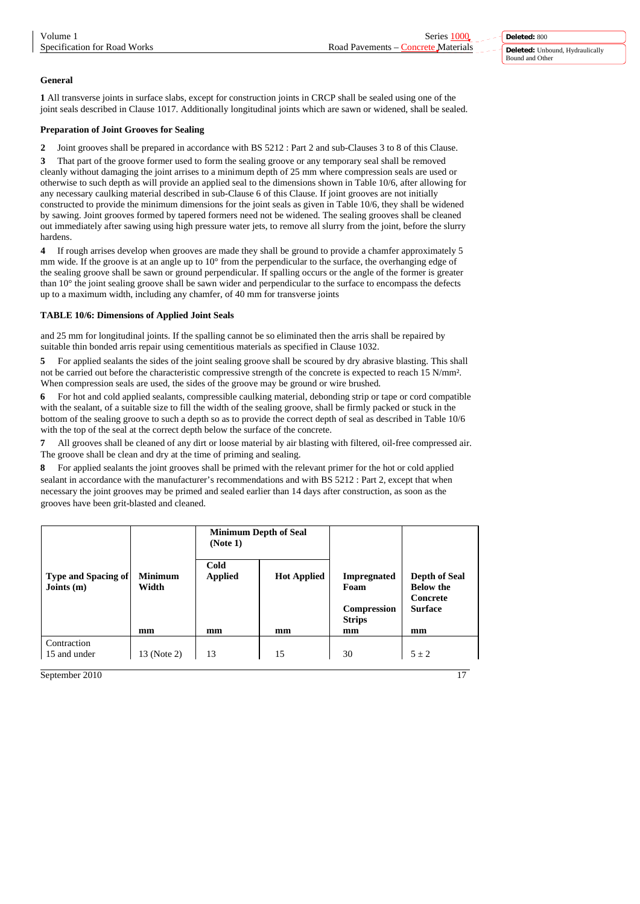# **General**

**1** All transverse joints in surface slabs, except for construction joints in CRCP shall be sealed using one of the joint seals described in Clause 1017. Additionally longitudinal joints which are sawn or widened, shall be sealed.

# **Preparation of Joint Grooves for Sealing**

**2** Joint grooves shall be prepared in accordance with BS 5212 : Part 2 and sub-Clauses 3 to 8 of this Clause.

**3** That part of the groove former used to form the sealing groove or any temporary seal shall be removed cleanly without damaging the joint arrises to a minimum depth of 25 mm where compression seals are used or otherwise to such depth as will provide an applied seal to the dimensions shown in Table 10/6, after allowing for any necessary caulking material described in sub-Clause 6 of this Clause. If joint grooves are not initially constructed to provide the minimum dimensions for the joint seals as given in Table 10/6, they shall be widened by sawing. Joint grooves formed by tapered formers need not be widened. The sealing grooves shall be cleaned out immediately after sawing using high pressure water jets, to remove all slurry from the joint, before the slurry hardens.

**4** If rough arrises develop when grooves are made they shall be ground to provide a chamfer approximately 5 mm wide. If the groove is at an angle up to  $10^{\circ}$  from the perpendicular to the surface, the overhanging edge of the sealing groove shall be sawn or ground perpendicular. If spalling occurs or the angle of the former is greater than 10° the joint sealing groove shall be sawn wider and perpendicular to the surface to encompass the defects up to a maximum width, including any chamfer, of 40 mm for transverse joints

# **TABLE 10/6: Dimensions of Applied Joint Seals**

and 25 mm for longitudinal joints. If the spalling cannot be so eliminated then the arris shall be repaired by suitable thin bonded arris repair using cementitious materials as specified in Clause 1032.

**5** For applied sealants the sides of the joint sealing groove shall be scoured by dry abrasive blasting. This shall not be carried out before the characteristic compressive strength of the concrete is expected to reach 15 N/mm<sup>2</sup>. When compression seals are used, the sides of the groove may be ground or wire brushed.

**6** For hot and cold applied sealants, compressible caulking material, debonding strip or tape or cord compatible with the sealant, of a suitable size to fill the width of the sealing groove, shall be firmly packed or stuck in the bottom of the sealing groove to such a depth so as to provide the correct depth of seal as described in Table 10/6 with the top of the seal at the correct depth below the surface of the concrete.

**7** All grooves shall be cleaned of any dirt or loose material by air blasting with filtered, oil-free compressed air. The groove shall be clean and dry at the time of priming and sealing.

**8** For applied sealants the joint grooves shall be primed with the relevant primer for the hot or cold applied sealant in accordance with the manufacturer's recommendations and with BS 5212 : Part 2, except that when necessary the joint grooves may be primed and sealed earlier than 14 days after construction, as soon as the grooves have been grit-blasted and cleaned.

|                                            |                         | (Note 1)               | <b>Minimum Depth of Seal</b> |                                                            |                                                                        |
|--------------------------------------------|-------------------------|------------------------|------------------------------|------------------------------------------------------------|------------------------------------------------------------------------|
| <b>Type and Spacing of</b><br>Joints $(m)$ | <b>Minimum</b><br>Width | Cold<br><b>Applied</b> | <b>Hot Applied</b>           | <b>Impregnated</b><br>Foam<br>Compression<br><b>Strips</b> | <b>Depth of Seal</b><br><b>Below the</b><br>Concrete<br><b>Surface</b> |
|                                            | mm                      | mm                     | mm                           | mm                                                         | mm                                                                     |
| Contraction<br>15 and under                | 13 (Note 2)             | 13                     | 15                           | 30                                                         | $5 \pm 2$                                                              |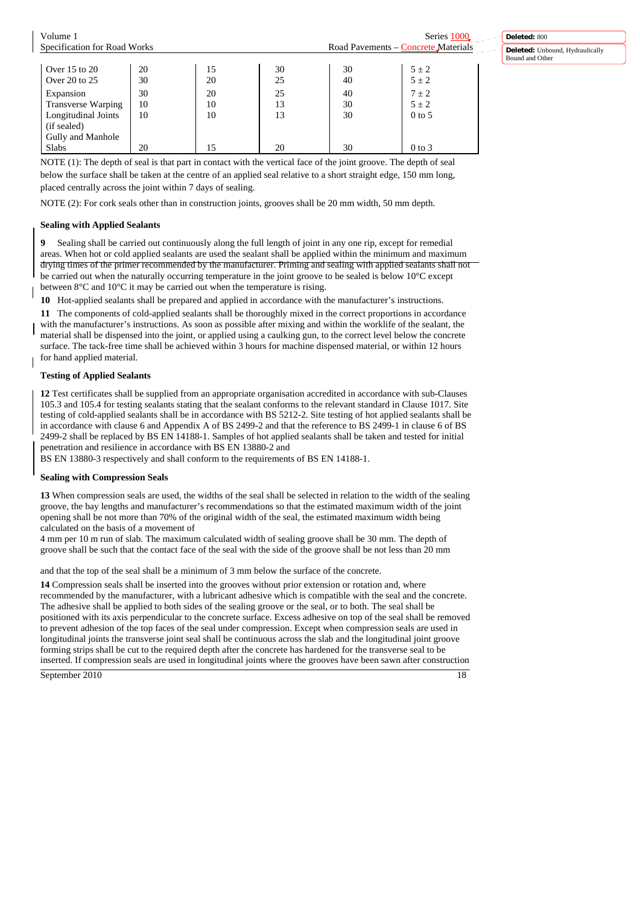| Volume 1                     |    |    |    |    | Series 1000                         |
|------------------------------|----|----|----|----|-------------------------------------|
| Specification for Road Works |    |    |    |    | Road Pavements – Concrete Materials |
|                              |    |    |    |    |                                     |
| Over 15 to 20                | 20 | 15 | 30 | 30 | $5 \pm 2$                           |
| Over 20 to 25                | 30 | 20 | 25 | 40 | $5 \pm 2$                           |
| Expansion                    | 30 | 20 | 25 | 40 | $7 \pm 2$                           |
| <b>Transverse Warping</b>    | 10 | 10 | 13 | 30 | $5 \pm 2$                           |
| Longitudinal Joints          | 10 | 10 | 13 | 30 | $0$ to 5                            |
| (if sealed)                  |    |    |    |    |                                     |
| Gully and Manhole            |    |    |    |    |                                     |
| Slabs                        | 20 | 15 | 20 | 30 | $0$ to $3$                          |

NOTE (1): The depth of seal is that part in contact with the vertical face of the joint groove. The depth of seal below the surface shall be taken at the centre of an applied seal relative to a short straight edge, 150 mm long, placed centrally across the joint within 7 days of sealing.

NOTE (2): For cork seals other than in construction joints, grooves shall be 20 mm width, 50 mm depth.

#### **Sealing with Applied Sealants**

**9** Sealing shall be carried out continuously along the full length of joint in any one rip, except for remedial areas. When hot or cold applied sealants are used the sealant shall be applied within the minimum and maximum drying times of the primer recommended by the manufacturer. Priming and sealing with applied sealants shall not be carried out when the naturally occurring temperature in the joint groove to be sealed is below 10°C except between 8°C and 10°C it may be carried out when the temperature is rising.

**10** Hot-applied sealants shall be prepared and applied in accordance with the manufacturer's instructions.

**11** The components of cold-applied sealants shall be thoroughly mixed in the correct proportions in accordance with the manufacturer's instructions. As soon as possible after mixing and within the worklife of the sealant, the material shall be dispensed into the joint, or applied using a caulking gun, to the correct level below the concrete surface. The tack-free time shall be achieved within 3 hours for machine dispensed material, or within 12 hours for hand applied material.

### **Testing of Applied Sealants**

**12** Test certificates shall be supplied from an appropriate organisation accredited in accordance with sub-Clauses 105.3 and 105.4 for testing sealants stating that the sealant conforms to the relevant standard in Clause 1017. Site testing of cold-applied sealants shall be in accordance with BS 5212-2. Site testing of hot applied sealants shall be in accordance with clause 6 and Appendix A of BS 2499-2 and that the reference to BS 2499-1 in clause 6 of BS 2499-2 shall be replaced by BS EN 14188-1. Samples of hot applied sealants shall be taken and tested for initial penetration and resilience in accordance with BS EN 13880-2 and

BS EN 13880-3 respectively and shall conform to the requirements of BS EN 14188-1.

#### **Sealing with Compression Seals**

**13** When compression seals are used, the widths of the seal shall be selected in relation to the width of the sealing groove, the bay lengths and manufacturer's recommendations so that the estimated maximum width of the joint opening shall be not more than 70% of the original width of the seal, the estimated maximum width being calculated on the basis of a movement of

4 mm per 10 m run of slab. The maximum calculated width of sealing groove shall be 30 mm. The depth of groove shall be such that the contact face of the seal with the side of the groove shall be not less than 20 mm

and that the top of the seal shall be a minimum of 3 mm below the surface of the concrete.

**14** Compression seals shall be inserted into the grooves without prior extension or rotation and, where recommended by the manufacturer, with a lubricant adhesive which is compatible with the seal and the concrete. The adhesive shall be applied to both sides of the sealing groove or the seal, or to both. The seal shall be positioned with its axis perpendicular to the concrete surface. Excess adhesive on top of the seal shall be removed to prevent adhesion of the top faces of the seal under compression. Except when compression seals are used in longitudinal joints the transverse joint seal shall be continuous across the slab and the longitudinal joint groove forming strips shall be cut to the required depth after the concrete has hardened for the transverse seal to be inserted. If compression seals are used in longitudinal joints where the grooves have been sawn after construction

**Deleted:** 800

Bound and Other

**Deleted:** Unbound, Hydraulically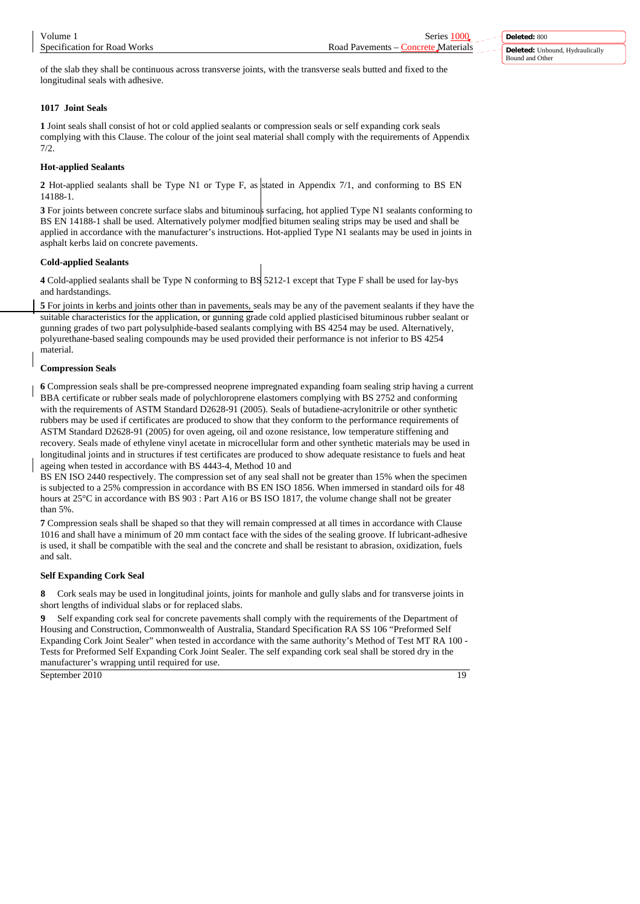**Deleted:** 800 **Deleted:** Unbound, Hydraulically Bound and Other

of the slab they shall be continuous across transverse joints, with the transverse seals butted and fixed to the longitudinal seals with adhesive.

# **1017 Joint Seals**

**1** Joint seals shall consist of hot or cold applied sealants or compression seals or self expanding cork seals complying with this Clause. The colour of the joint seal material shall comply with the requirements of Appendix 7/2.

# **Hot-applied Sealants**

**2** Hot-applied sealants shall be Type N1 or Type F, as stated in Appendix 7/1, and conforming to BS EN 14188-1.

**3** For joints between concrete surface slabs and bituminous surfacing, hot applied Type N1 sealants conforming to BS EN 14188-1 shall be used. Alternatively polymer modified bitumen sealing strips may be used and shall be applied in accordance with the manufacturer's instructions. Hot-applied Type N1 sealants may be used in joints in asphalt kerbs laid on concrete pavements.

# **Cold-applied Sealants**

**4** Cold-applied sealants shall be Type N conforming to BS 5212-1 except that Type F shall be used for lay-bys and hardstandings.

**5** For joints in kerbs and joints other than in pavements, seals may be any of the pavement sealants if they have the suitable characteristics for the application, or gunning grade cold applied plasticised bituminous rubber sealant or gunning grades of two part polysulphide-based sealants complying with BS 4254 may be used. Alternatively, polyurethane-based sealing compounds may be used provided their performance is not inferior to BS 4254 material.

# **Compression Seals**

**6** Compression seals shall be pre-compressed neoprene impregnated expanding foam sealing strip having a current BBA certificate or rubber seals made of polychloroprene elastomers complying with BS 2752 and conforming with the requirements of ASTM Standard D2628-91 (2005). Seals of butadiene-acrylonitrile or other synthetic rubbers may be used if certificates are produced to show that they conform to the performance requirements of ASTM Standard D2628-91 (2005) for oven ageing, oil and ozone resistance, low temperature stiffening and recovery. Seals made of ethylene vinyl acetate in microcellular form and other synthetic materials may be used in longitudinal joints and in structures if test certificates are produced to show adequate resistance to fuels and heat ageing when tested in accordance with BS 4443-4, Method 10 and

BS EN ISO 2440 respectively. The compression set of any seal shall not be greater than 15% when the specimen is subjected to a 25% compression in accordance with BS EN ISO 1856. When immersed in standard oils for 48 hours at 25°C in accordance with BS 903 : Part A16 or BS ISO 1817, the volume change shall not be greater than 5%.

**7** Compression seals shall be shaped so that they will remain compressed at all times in accordance with Clause 1016 and shall have a minimum of 20 mm contact face with the sides of the sealing groove. If lubricant-adhesive is used, it shall be compatible with the seal and the concrete and shall be resistant to abrasion, oxidization, fuels and salt.

# **Self Expanding Cork Seal**

**8** Cork seals may be used in longitudinal joints, joints for manhole and gully slabs and for transverse joints in short lengths of individual slabs or for replaced slabs.

**9** Self expanding cork seal for concrete pavements shall comply with the requirements of the Department of Housing and Construction, Commonwealth of Australia, Standard Specification RA SS 106 "Preformed Self Expanding Cork Joint Sealer" when tested in accordance with the same authority's Method of Test MT RA 100 - Tests for Preformed Self Expanding Cork Joint Sealer. The self expanding cork seal shall be stored dry in the manufacturer's wrapping until required for use.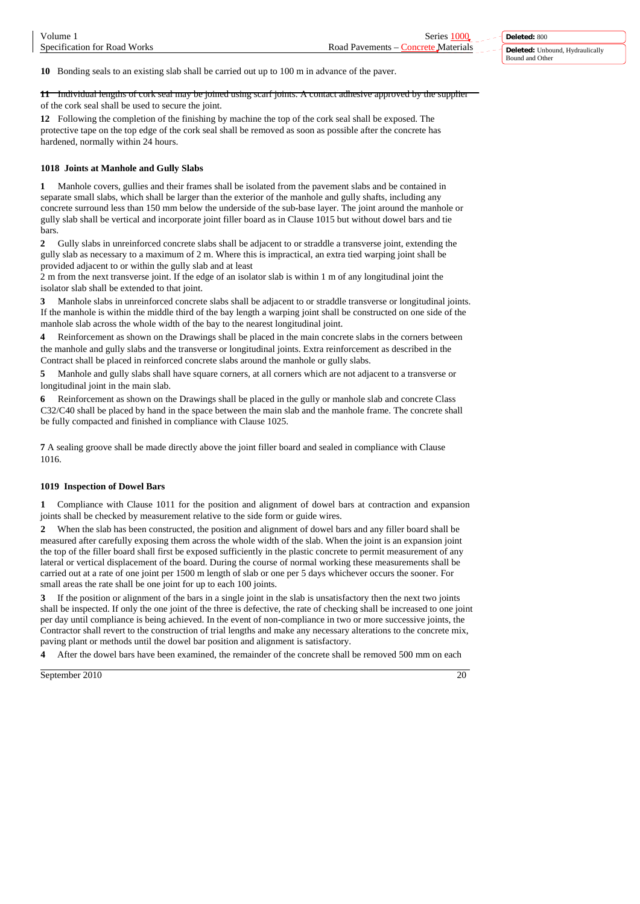**10** Bonding seals to an existing slab shall be carried out up to 100 m in advance of the paver.

**11** Individual lengths of cork seal may be joined using scarf joints. A contact adhesive approved by the supplier of the cork seal shall be used to secure the joint.

**12** Following the completion of the finishing by machine the top of the cork seal shall be exposed. The protective tape on the top edge of the cork seal shall be removed as soon as possible after the concrete has hardened, normally within 24 hours.

#### **1018 Joints at Manhole and Gully Slabs**

**1** Manhole covers, gullies and their frames shall be isolated from the pavement slabs and be contained in separate small slabs, which shall be larger than the exterior of the manhole and gully shafts, including any concrete surround less than 150 mm below the underside of the sub-base layer. The joint around the manhole or gully slab shall be vertical and incorporate joint filler board as in Clause 1015 but without dowel bars and tie bars.

**2** Gully slabs in unreinforced concrete slabs shall be adjacent to or straddle a transverse joint, extending the gully slab as necessary to a maximum of 2 m. Where this is impractical, an extra tied warping joint shall be provided adjacent to or within the gully slab and at least

2 m from the next transverse joint. If the edge of an isolator slab is within 1 m of any longitudinal joint the isolator slab shall be extended to that joint.

**3** Manhole slabs in unreinforced concrete slabs shall be adjacent to or straddle transverse or longitudinal joints. If the manhole is within the middle third of the bay length a warping joint shall be constructed on one side of the manhole slab across the whole width of the bay to the nearest longitudinal joint.

**4** Reinforcement as shown on the Drawings shall be placed in the main concrete slabs in the corners between the manhole and gully slabs and the transverse or longitudinal joints. Extra reinforcement as described in the Contract shall be placed in reinforced concrete slabs around the manhole or gully slabs.

**5** Manhole and gully slabs shall have square corners, at all corners which are not adjacent to a transverse or longitudinal joint in the main slab.

**6** Reinforcement as shown on the Drawings shall be placed in the gully or manhole slab and concrete Class C32/C40 shall be placed by hand in the space between the main slab and the manhole frame. The concrete shall be fully compacted and finished in compliance with Clause 1025.

**7** A sealing groove shall be made directly above the joint filler board and sealed in compliance with Clause 1016.

#### **1019 Inspection of Dowel Bars**

**1** Compliance with Clause 1011 for the position and alignment of dowel bars at contraction and expansion joints shall be checked by measurement relative to the side form or guide wires.

**2** When the slab has been constructed, the position and alignment of dowel bars and any filler board shall be measured after carefully exposing them across the whole width of the slab. When the joint is an expansion joint the top of the filler board shall first be exposed sufficiently in the plastic concrete to permit measurement of any lateral or vertical displacement of the board. During the course of normal working these measurements shall be carried out at a rate of one joint per 1500 m length of slab or one per 5 days whichever occurs the sooner. For small areas the rate shall be one joint for up to each 100 joints.

**3** If the position or alignment of the bars in a single joint in the slab is unsatisfactory then the next two joints shall be inspected. If only the one joint of the three is defective, the rate of checking shall be increased to one joint per day until compliance is being achieved. In the event of non-compliance in two or more successive joints, the Contractor shall revert to the construction of trial lengths and make any necessary alterations to the concrete mix, paving plant or methods until the dowel bar position and alignment is satisfactory.

**4** After the dowel bars have been examined, the remainder of the concrete shall be removed 500 mm on each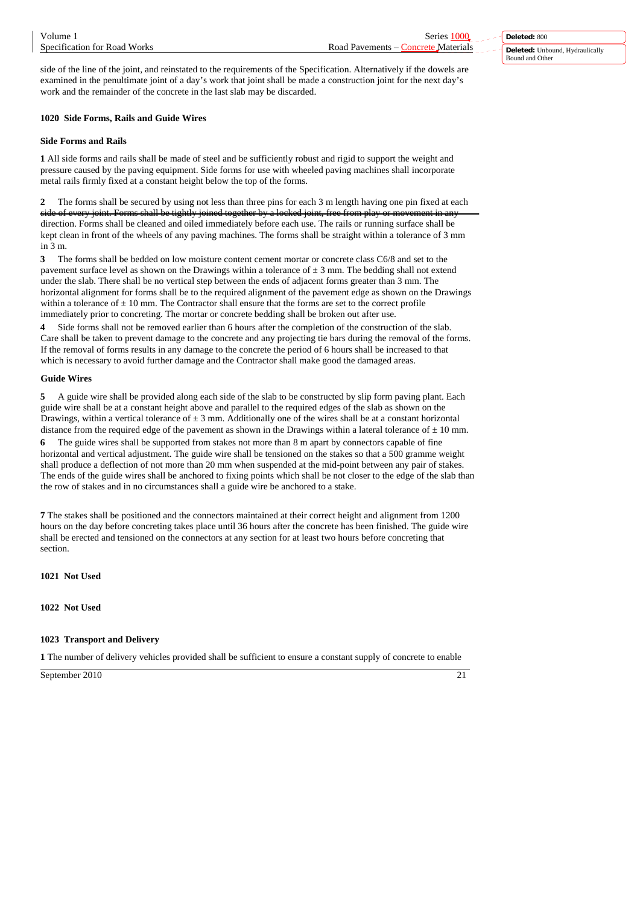**Deleted:** 800 **Deleted:** Unbound, Hydraulically Bound and Other

side of the line of the joint, and reinstated to the requirements of the Specification. Alternatively if the dowels are examined in the penultimate joint of a day's work that joint shall be made a construction joint for the next day's work and the remainder of the concrete in the last slab may be discarded.

# **1020 Side Forms, Rails and Guide Wires**

# **Side Forms and Rails**

**1** All side forms and rails shall be made of steel and be sufficiently robust and rigid to support the weight and pressure caused by the paving equipment. Side forms for use with wheeled paving machines shall incorporate metal rails firmly fixed at a constant height below the top of the forms.

**2** The forms shall be secured by using not less than three pins for each 3 m length having one pin fixed at each side of every joint. Forms shall be tightly joined together by a locked joint, free from play or movement in any direction. Forms shall be cleaned and oiled immediately before each use. The rails or running surface shall be kept clean in front of the wheels of any paving machines. The forms shall be straight within a tolerance of 3 mm in 3 m.

**3** The forms shall be bedded on low moisture content cement mortar or concrete class C6/8 and set to the pavement surface level as shown on the Drawings within a tolerance of  $\pm$  3 mm. The bedding shall not extend under the slab. There shall be no vertical step between the ends of adjacent forms greater than 3 mm. The horizontal alignment for forms shall be to the required alignment of the pavement edge as shown on the Drawings within a tolerance of  $\pm$  10 mm. The Contractor shall ensure that the forms are set to the correct profile immediately prior to concreting. The mortar or concrete bedding shall be broken out after use.

**4** Side forms shall not be removed earlier than 6 hours after the completion of the construction of the slab. Care shall be taken to prevent damage to the concrete and any projecting tie bars during the removal of the forms. If the removal of forms results in any damage to the concrete the period of 6 hours shall be increased to that which is necessary to avoid further damage and the Contractor shall make good the damaged areas.

# **Guide Wires**

**5** A guide wire shall be provided along each side of the slab to be constructed by slip form paving plant. Each guide wire shall be at a constant height above and parallel to the required edges of the slab as shown on the Drawings, within a vertical tolerance of  $\pm 3$  mm. Additionally one of the wires shall be at a constant horizontal distance from the required edge of the pavement as shown in the Drawings within a lateral tolerance of  $\pm$  10 mm.

**6** The guide wires shall be supported from stakes not more than 8 m apart by connectors capable of fine horizontal and vertical adjustment. The guide wire shall be tensioned on the stakes so that a 500 gramme weight shall produce a deflection of not more than 20 mm when suspended at the mid-point between any pair of stakes. The ends of the guide wires shall be anchored to fixing points which shall be not closer to the edge of the slab than the row of stakes and in no circumstances shall a guide wire be anchored to a stake.

**7** The stakes shall be positioned and the connectors maintained at their correct height and alignment from 1200 hours on the day before concreting takes place until 36 hours after the concrete has been finished. The guide wire shall be erected and tensioned on the connectors at any section for at least two hours before concreting that section.

**1021 Not Used**

**1022 Not Used**

# **1023 Transport and Delivery**

**1** The number of delivery vehicles provided shall be sufficient to ensure a constant supply of concrete to enable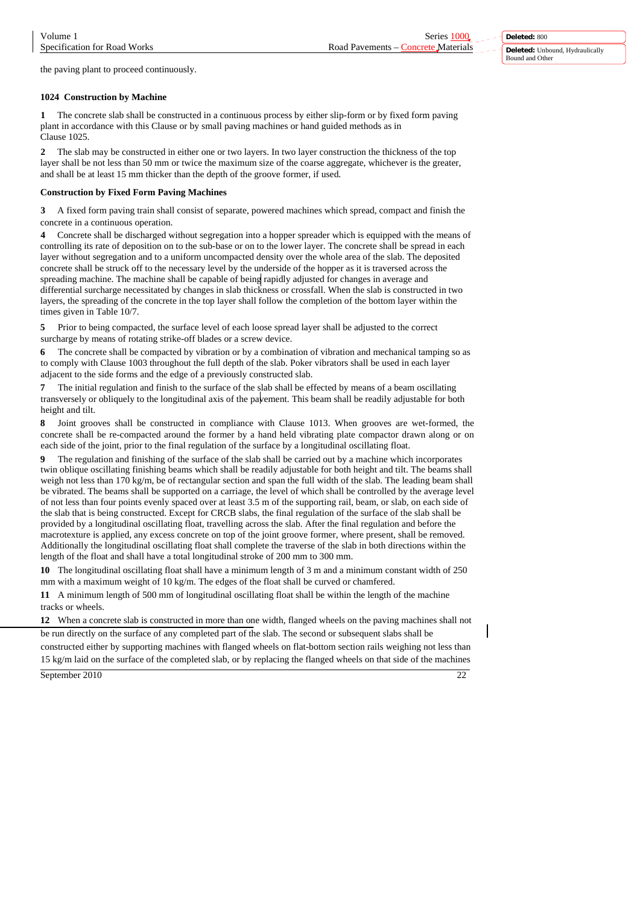Specification for Road Works Road Pavements – Concrete Materials

the paving plant to proceed continuously.

### **1024 Construction by Machine**

**1** The concrete slab shall be constructed in a continuous process by either slip-form or by fixed form paving plant in accordance with this Clause or by small paving machines or hand guided methods as in Clause 1025.

**2** The slab may be constructed in either one or two layers. In two layer construction the thickness of the top layer shall be not less than 50 mm or twice the maximum size of the coarse aggregate, whichever is the greater, and shall be at least 15 mm thicker than the depth of the groove former, if used.

### **Construction by Fixed Form Paving Machines**

**3** A fixed form paving train shall consist of separate, powered machines which spread, compact and finish the concrete in a continuous operation.

**4** Concrete shall be discharged without segregation into a hopper spreader which is equipped with the means of controlling its rate of deposition on to the sub-base or on to the lower layer. The concrete shall be spread in each layer without segregation and to a uniform uncompacted density over the whole area of the slab. The deposited concrete shall be struck off to the necessary level by the underside of the hopper as it is traversed across the spreading machine. The machine shall be capable of being rapidly adjusted for changes in average and differential surcharge necessitated by changes in slab thickness or crossfall. When the slab is constructed in two layers, the spreading of the concrete in the top layer shall follow the completion of the bottom layer within the times given in Table 10/7.

**5** Prior to being compacted, the surface level of each loose spread layer shall be adjusted to the correct surcharge by means of rotating strike-off blades or a screw device.

**6** The concrete shall be compacted by vibration or by a combination of vibration and mechanical tamping so as to comply with Clause 1003 throughout the full depth of the slab. Poker vibrators shall be used in each layer adjacent to the side forms and the edge of a previously constructed slab.

**7** The initial regulation and finish to the surface of the slab shall be effected by means of a beam oscillating transversely or obliquely to the longitudinal axis of the pavement. This beam shall be readily adjustable for both height and tilt.

**8** Joint grooves shall be constructed in compliance with Clause 1013. When grooves are wet-formed, the concrete shall be re-compacted around the former by a hand held vibrating plate compactor drawn along or on each side of the joint, prior to the final regulation of the surface by a longitudinal oscillating float.

**9** The regulation and finishing of the surface of the slab shall be carried out by a machine which incorporates twin oblique oscillating finishing beams which shall be readily adjustable for both height and tilt. The beams shall weigh not less than 170 kg/m, be of rectangular section and span the full width of the slab. The leading beam shall be vibrated. The beams shall be supported on a carriage, the level of which shall be controlled by the average level of not less than four points evenly spaced over at least 3.5 m of the supporting rail, beam, or slab, on each side of the slab that is being constructed. Except for CRCB slabs, the final regulation of the surface of the slab shall be provided by a longitudinal oscillating float, travelling across the slab. After the final regulation and before the macrotexture is applied, any excess concrete on top of the joint groove former, where present, shall be removed. Additionally the longitudinal oscillating float shall complete the traverse of the slab in both directions within the length of the float and shall have a total longitudinal stroke of 200 mm to 300 mm.

**10** The longitudinal oscillating float shall have a minimum length of 3 m and a minimum constant width of 250 mm with a maximum weight of 10 kg/m. The edges of the float shall be curved or chamfered.

**11** A minimum length of 500 mm of longitudinal oscillating float shall be within the length of the machine tracks or wheels.

**12** When a concrete slab is constructed in more than one width, flanged wheels on the paving machines shall not be run directly on the surface of any completed part of the slab. The second or subsequent slabs shall be constructed either by supporting machines with flanged wheels on flat-bottom section rails weighing not less than

September 2010 22 15 kg/m laid on the surface of the completed slab, or by replacing the flanged wheels on that side of the machines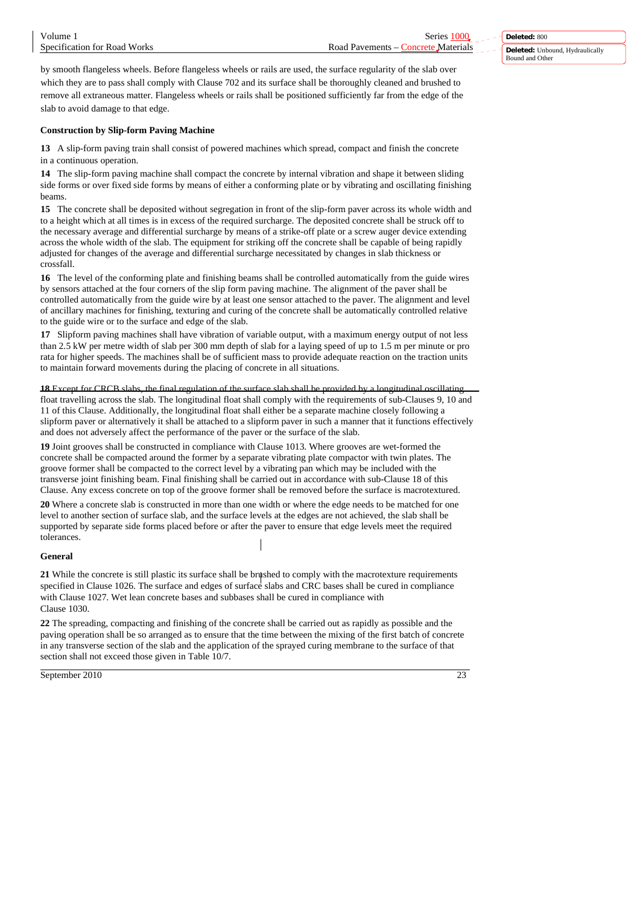by smooth flangeless wheels. Before flangeless wheels or rails are used, the surface regularity of the slab over which they are to pass shall comply with Clause 702 and its surface shall be thoroughly cleaned and brushed to remove all extraneous matter. Flangeless wheels or rails shall be positioned sufficiently far from the edge of the slab to avoid damage to that edge.

# **Construction by Slip-form Paving Machine**

**13** A slip-form paving train shall consist of powered machines which spread, compact and finish the concrete in a continuous operation.

**14** The slip-form paving machine shall compact the concrete by internal vibration and shape it between sliding side forms or over fixed side forms by means of either a conforming plate or by vibrating and oscillating finishing beams.

**15** The concrete shall be deposited without segregation in front of the slip-form paver across its whole width and to a height which at all times is in excess of the required surcharge. The deposited concrete shall be struck off to the necessary average and differential surcharge by means of a strike-off plate or a screw auger device extending across the whole width of the slab. The equipment for striking off the concrete shall be capable of being rapidly adjusted for changes of the average and differential surcharge necessitated by changes in slab thickness or crossfall.

**16** The level of the conforming plate and finishing beams shall be controlled automatically from the guide wires by sensors attached at the four corners of the slip form paving machine. The alignment of the paver shall be controlled automatically from the guide wire by at least one sensor attached to the paver. The alignment and level of ancillary machines for finishing, texturing and curing of the concrete shall be automatically controlled relative to the guide wire or to the surface and edge of the slab.

**17** Slipform paving machines shall have vibration of variable output, with a maximum energy output of not less than 2.5 kW per metre width of slab per 300 mm depth of slab for a laying speed of up to 1.5 m per minute or pro rata for higher speeds. The machines shall be of sufficient mass to provide adequate reaction on the traction units to maintain forward movements during the placing of concrete in all situations.

**18** Except for CRCB slabs, the final regulation of the surface slab shall be provided by a longitudinal oscillating float travelling across the slab. The longitudinal float shall comply with the requirements of sub-Clauses 9, 10 and 11 of this Clause. Additionally, the longitudinal float shall either be a separate machine closely following a slipform paver or alternatively it shall be attached to a slipform paver in such a manner that it functions effectively and does not adversely affect the performance of the paver or the surface of the slab.

**19** Joint grooves shall be constructed in compliance with Clause 1013. Where grooves are wet-formed the concrete shall be compacted around the former by a separate vibrating plate compactor with twin plates. The groove former shall be compacted to the correct level by a vibrating pan which may be included with the transverse joint finishing beam. Final finishing shall be carried out in accordance with sub-Clause 18 of this Clause. Any excess concrete on top of the groove former shall be removed before the surface is macrotextured.

**20** Where a concrete slab is constructed in more than one width or where the edge needs to be matched for one level to another section of surface slab, and the surface levels at the edges are not achieved, the slab shall be supported by separate side forms placed before or after the paver to ensure that edge levels meet the required tolerances.

# **General**

21 While the concrete is still plastic its surface shall be brushed to comply with the macrotexture requirements specified in Clause 1026. The surface and edges of surface slabs and CRC bases shall be cured in compliance with Clause 1027. Wet lean concrete bases and subbases shall be cured in compliance with Clause 1030.

**22** The spreading, compacting and finishing of the concrete shall be carried out as rapidly as possible and the paving operation shall be so arranged as to ensure that the time between the mixing of the first batch of concrete in any transverse section of the slab and the application of the sprayed curing membrane to the surface of that section shall not exceed those given in Table 10/7.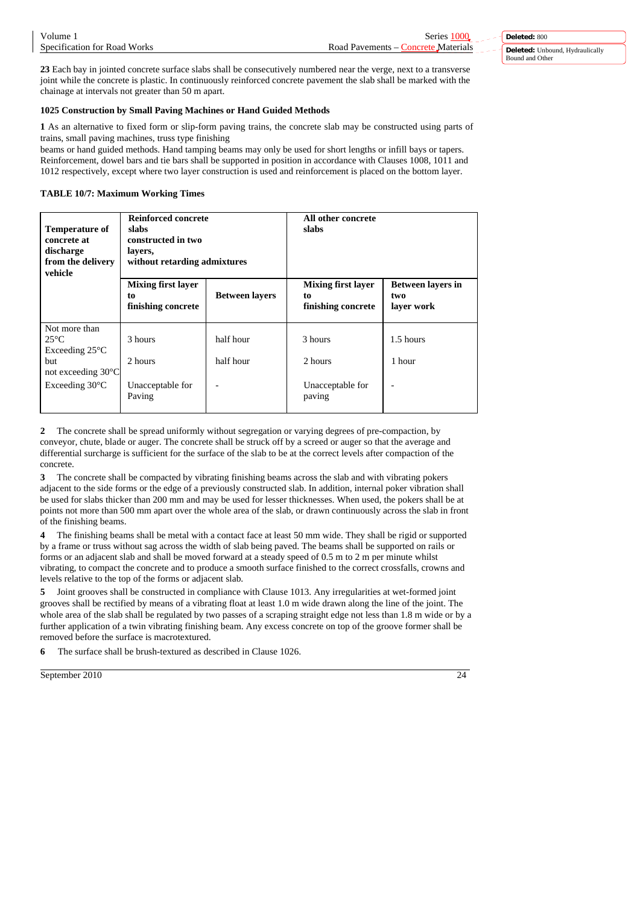| Volume                       | ¦eries                         | <b>Deleted: 800</b>                  |
|------------------------------|--------------------------------|--------------------------------------|
| Specification for Road Works | Road<br>Materials<br>Pavements | Unbound. Hydraulically<br>Deleted: 1 |
|                              |                                | Bound and Other                      |

**23** Each bay in jointed concrete surface slabs shall be consecutively numbered near the verge, next to a transverse joint while the concrete is plastic. In continuously reinforced concrete pavement the slab shall be marked with the chainage at intervals not greater than 50 m apart.

## **1025 Construction by Small Paving Machines or Hand Guided Methods**

**1** As an alternative to fixed form or slip-form paving trains, the concrete slab may be constructed using parts of trains, small paving machines, truss type finishing

beams or hand guided methods. Hand tamping beams may only be used for short lengths or infill bays or tapers. Reinforcement, dowel bars and tie bars shall be supported in position in accordance with Clauses 1008, 1011 and 1012 respectively, except where two layer construction is used and reinforcement is placed on the bottom layer.

# **TABLE 10/7: Maximum Working Times**

| <b>Temperature of</b><br>concrete at<br>discharge<br>from the delivery<br>vehicle                  | <b>Reinforced concrete</b><br>slabs<br>constructed in two<br>layers,<br>without retarding admixtures |                        | All other concrete<br>slabs                           |                                               |  |
|----------------------------------------------------------------------------------------------------|------------------------------------------------------------------------------------------------------|------------------------|-------------------------------------------------------|-----------------------------------------------|--|
|                                                                                                    | <b>Mixing first layer</b><br>to<br>finishing concrete                                                | <b>Between layers</b>  | <b>Mixing first layer</b><br>to<br>finishing concrete | <b>Between layers in</b><br>two<br>laver work |  |
| Not more than<br>$25^{\circ}$ C<br>Exceeding $25^{\circ}$ C<br>but<br>not exceeding $30^{\circ}$ C | 3 hours<br>2 hours                                                                                   | half hour<br>half hour | 3 hours<br>2 hours                                    | 1.5 hours<br>1 hour                           |  |
| Exceeding $30^{\circ}$ C                                                                           | Unacceptable for<br>Paving                                                                           |                        | Unacceptable for<br>paving                            |                                               |  |

**2** The concrete shall be spread uniformly without segregation or varying degrees of pre-compaction, by conveyor, chute, blade or auger. The concrete shall be struck off by a screed or auger so that the average and differential surcharge is sufficient for the surface of the slab to be at the correct levels after compaction of the concrete.

**3** The concrete shall be compacted by vibrating finishing beams across the slab and with vibrating pokers adjacent to the side forms or the edge of a previously constructed slab. In addition, internal poker vibration shall be used for slabs thicker than 200 mm and may be used for lesser thicknesses. When used, the pokers shall be at points not more than 500 mm apart over the whole area of the slab, or drawn continuously across the slab in front of the finishing beams.

**4** The finishing beams shall be metal with a contact face at least 50 mm wide. They shall be rigid or supported by a frame or truss without sag across the width of slab being paved. The beams shall be supported on rails or forms or an adjacent slab and shall be moved forward at a steady speed of 0.5 m to 2 m per minute whilst vibrating, to compact the concrete and to produce a smooth surface finished to the correct crossfalls, crowns and levels relative to the top of the forms or adjacent slab.

**5** Joint grooves shall be constructed in compliance with Clause 1013. Any irregularities at wet-formed joint grooves shall be rectified by means of a vibrating float at least 1.0 m wide drawn along the line of the joint. The whole area of the slab shall be regulated by two passes of a scraping straight edge not less than 1.8 m wide or by a further application of a twin vibrating finishing beam. Any excess concrete on top of the groove former shall be removed before the surface is macrotextured.

**6** The surface shall be brush-textured as described in Clause 1026.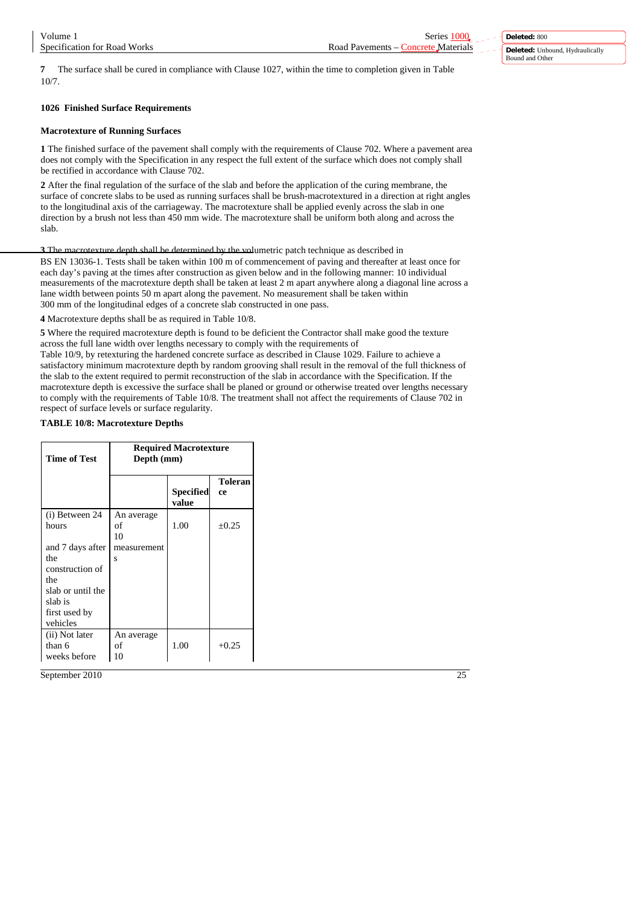**Deleted:** 800 **Deleted:** Unbound, Hydraulically Bound and Other

**7** The surface shall be cured in compliance with Clause 1027, within the time to completion given in Table 10/7.

# **1026 Finished Surface Requirements**

## **Macrotexture of Running Surfaces**

**1** The finished surface of the pavement shall comply with the requirements of Clause 702. Where a pavement area does not comply with the Specification in any respect the full extent of the surface which does not comply shall be rectified in accordance with Clause 702.

**2** After the final regulation of the surface of the slab and before the application of the curing membrane, the surface of concrete slabs to be used as running surfaces shall be brush-macrotextured in a direction at right angles to the longitudinal axis of the carriageway. The macrotexture shall be applied evenly across the slab in one direction by a brush not less than 450 mm wide. The macrotexture shall be uniform both along and across the slab.

**3** The macrotexture depth shall be determined by the volumetric patch technique as described in BS EN 13036-1. Tests shall be taken within 100 m of commencement of paving and thereafter at least once for each day's paving at the times after construction as given below and in the following manner: 10 individual measurements of the macrotexture depth shall be taken at least 2 m apart anywhere along a diagonal line across a lane width between points 50 m apart along the pavement. No measurement shall be taken within 300 mm of the longitudinal edges of a concrete slab constructed in one pass.

**4** Macrotexture depths shall be as required in Table 10/8.

**5** Where the required macrotexture depth is found to be deficient the Contractor shall make good the texture across the full lane width over lengths necessary to comply with the requirements of

Table 10/9, by retexturing the hardened concrete surface as described in Clause 1029. Failure to achieve a satisfactory minimum macrotexture depth by random grooving shall result in the removal of the full thickness of the slab to the extent required to permit reconstruction of the slab in accordance with the Specification. If the macrotexture depth is excessive the surface shall be planed or ground or otherwise treated over lengths necessary to comply with the requirements of Table 10/8. The treatment shall not affect the requirements of Clause 702 in respect of surface levels or surface regularity.

### **TABLE 10/8: Macrotexture Depths**

| Time of Test                                                                                                                              | <b>Required Macrotexture</b><br>Depth (mm) |                    |                      |
|-------------------------------------------------------------------------------------------------------------------------------------------|--------------------------------------------|--------------------|----------------------|
|                                                                                                                                           |                                            | Specified<br>value | <b>Toleran</b><br>ce |
| (i) Between 24<br>hours<br>and 7 days after<br>the<br>construction of<br>the<br>slab or until the<br>slab is<br>first used by<br>vehicles | An average<br>of<br>10<br>measurement<br>S | 1.00               | $+0.25$              |
| (ii) Not later<br>than 6<br>weeks before                                                                                                  | An average<br>of<br>10                     | 1.00               | $+0.25$              |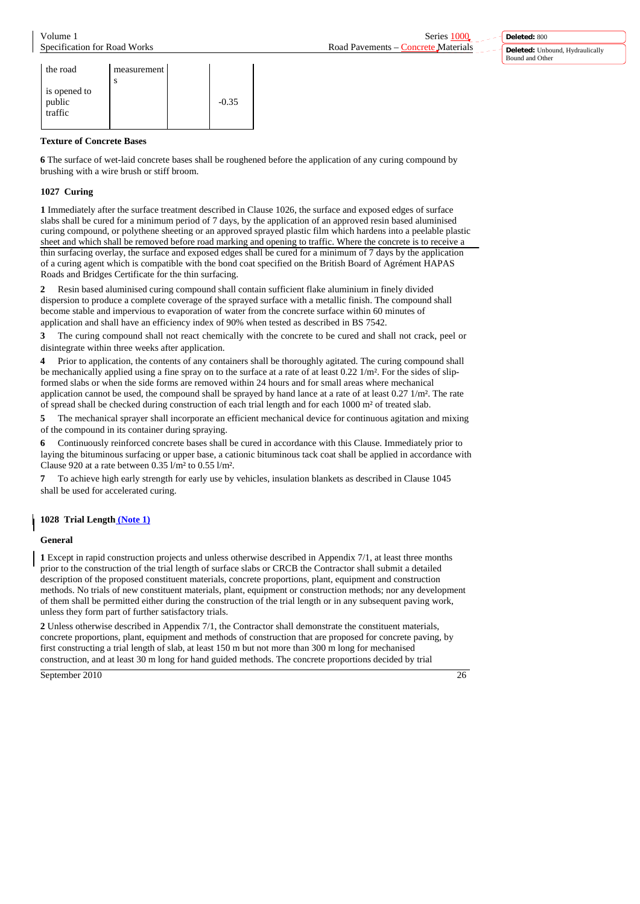**Deleted:** 800 **Deleted:** Unbound, Hydraulically Bound and Other

| the road                          | measurement |         |
|-----------------------------------|-------------|---------|
| is opened to<br>public<br>traffic | S           | $-0.35$ |

# **Texture of Concrete Bases**

**6** The surface of wet-laid concrete bases shall be roughened before the application of any curing compound by brushing with a wire brush or stiff broom.

# **1027 Curing**

**1** Immediately after the surface treatment described in Clause 1026, the surface and exposed edges of surface slabs shall be cured for a minimum period of 7 days, by the application of an approved resin based aluminised curing compound, or polythene sheeting or an approved sprayed plastic film which hardens into a peelable plastic sheet and which shall be removed before road marking and opening to traffic. Where the concrete is to receive a thin surfacing overlay, the surface and exposed edges shall be cured for a minimum of 7 days by the application of a curing agent which is compatible with the bond coat specified on the British Board of Agrément HAPAS Roads and Bridges Certificate for the thin surfacing.

**2** Resin based aluminised curing compound shall contain sufficient flake aluminium in finely divided dispersion to produce a complete coverage of the sprayed surface with a metallic finish. The compound shall become stable and impervious to evaporation of water from the concrete surface within 60 minutes of application and shall have an efficiency index of 90% when tested as described in BS 7542.

**3** The curing compound shall not react chemically with the concrete to be cured and shall not crack, peel or disintegrate within three weeks after application.

**4** Prior to application, the contents of any containers shall be thoroughly agitated. The curing compound shall be mechanically applied using a fine spray on to the surface at a rate of at least 0.22 1/m². For the sides of slipformed slabs or when the side forms are removed within 24 hours and for small areas where mechanical application cannot be used, the compound shall be sprayed by hand lance at a rate of at least  $0.27 \frac{1}{m^2}$ . The rate of spread shall be checked during construction of each trial length and for each 1000 m² of treated slab.

**5** The mechanical sprayer shall incorporate an efficient mechanical device for continuous agitation and mixing of the compound in its container during spraying.

**6** Continuously reinforced concrete bases shall be cured in accordance with this Clause. Immediately prior to laying the bituminous surfacing or upper base, a cationic bituminous tack coat shall be applied in accordance with Clause 920 at a rate between 0.35 l/m² to 0.55 l/m².

**7** To achieve high early strength for early use by vehicles, insulation blankets as described in Clause 1045 shall be used for accelerated curing.

# **1028 Trial Length (Note 1)**

# **General**

**1** Except in rapid construction projects and unless otherwise described in Appendix 7/1, at least three months prior to the construction of the trial length of surface slabs or CRCB the Contractor shall submit a detailed description of the proposed constituent materials, concrete proportions, plant, equipment and construction methods. No trials of new constituent materials, plant, equipment or construction methods; nor any development of them shall be permitted either during the construction of the trial length or in any subsequent paving work, unless they form part of further satisfactory trials.

**2** Unless otherwise described in Appendix 7/1, the Contractor shall demonstrate the constituent materials, concrete proportions, plant, equipment and methods of construction that are proposed for concrete paving, by first constructing a trial length of slab, at least 150 m but not more than 300 m long for mechanised construction, and at least 30 m long for hand guided methods. The concrete proportions decided by trial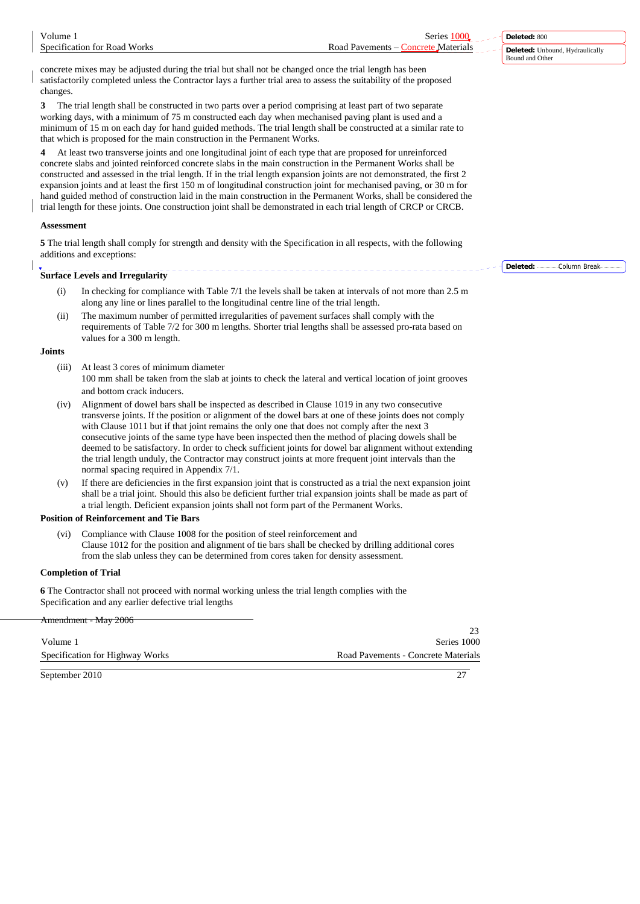|  | changes.                                                                                                                                                                                                                                                                                                                                                                                                                                                                                                                                                                                                                                                                                                                   |                                                                                                                                                                                                                                                                                                                                                                                                                                                                                                                                                                                                                                                                                    |                       |
|--|----------------------------------------------------------------------------------------------------------------------------------------------------------------------------------------------------------------------------------------------------------------------------------------------------------------------------------------------------------------------------------------------------------------------------------------------------------------------------------------------------------------------------------------------------------------------------------------------------------------------------------------------------------------------------------------------------------------------------|------------------------------------------------------------------------------------------------------------------------------------------------------------------------------------------------------------------------------------------------------------------------------------------------------------------------------------------------------------------------------------------------------------------------------------------------------------------------------------------------------------------------------------------------------------------------------------------------------------------------------------------------------------------------------------|-----------------------|
|  |                                                                                                                                                                                                                                                                                                                                                                                                                                                                                                                                                                                                                                                                                                                            |                                                                                                                                                                                                                                                                                                                                                                                                                                                                                                                                                                                                                                                                                    |                       |
|  | 4<br>At least two transverse joints and one longitudinal joint of each type that are proposed for unreinforced<br>concrete slabs and jointed reinforced concrete slabs in the main construction in the Permanent Works shall be<br>constructed and assessed in the trial length. If in the trial length expansion joints are not demonstrated, the first 2<br>expansion joints and at least the first 150 m of longitudinal construction joint for mechanised paving, or 30 m for<br>hand guided method of construction laid in the main construction in the Permanent Works, shall be considered the<br>trial length for these joints. One construction joint shall be demonstrated in each trial length of CRCP or CRCB. |                                                                                                                                                                                                                                                                                                                                                                                                                                                                                                                                                                                                                                                                                    |                       |
|  | <b>Assessment</b>                                                                                                                                                                                                                                                                                                                                                                                                                                                                                                                                                                                                                                                                                                          |                                                                                                                                                                                                                                                                                                                                                                                                                                                                                                                                                                                                                                                                                    |                       |
|  |                                                                                                                                                                                                                                                                                                                                                                                                                                                                                                                                                                                                                                                                                                                            | 5 The trial length shall comply for strength and density with the Specification in all respects, with the following<br>additions and exceptions:                                                                                                                                                                                                                                                                                                                                                                                                                                                                                                                                   |                       |
|  |                                                                                                                                                                                                                                                                                                                                                                                                                                                                                                                                                                                                                                                                                                                            | <b>Surface Levels and Irregularity</b>                                                                                                                                                                                                                                                                                                                                                                                                                                                                                                                                                                                                                                             | Deleted: Column Break |
|  | (i)                                                                                                                                                                                                                                                                                                                                                                                                                                                                                                                                                                                                                                                                                                                        | In checking for compliance with Table 7/1 the levels shall be taken at intervals of not more than 2.5 m<br>along any line or lines parallel to the longitudinal centre line of the trial length.                                                                                                                                                                                                                                                                                                                                                                                                                                                                                   |                       |
|  | (ii)                                                                                                                                                                                                                                                                                                                                                                                                                                                                                                                                                                                                                                                                                                                       | The maximum number of permitted irregularities of pavement surfaces shall comply with the<br>requirements of Table 7/2 for 300 m lengths. Shorter trial lengths shall be assessed pro-rata based on<br>values for a 300 m length.                                                                                                                                                                                                                                                                                                                                                                                                                                                  |                       |
|  | <b>Joints</b>                                                                                                                                                                                                                                                                                                                                                                                                                                                                                                                                                                                                                                                                                                              |                                                                                                                                                                                                                                                                                                                                                                                                                                                                                                                                                                                                                                                                                    |                       |
|  | (iii)                                                                                                                                                                                                                                                                                                                                                                                                                                                                                                                                                                                                                                                                                                                      | At least 3 cores of minimum diameter<br>100 mm shall be taken from the slab at joints to check the lateral and vertical location of joint grooves<br>and bottom crack inducers.                                                                                                                                                                                                                                                                                                                                                                                                                                                                                                    |                       |
|  | (iv)                                                                                                                                                                                                                                                                                                                                                                                                                                                                                                                                                                                                                                                                                                                       | Alignment of dowel bars shall be inspected as described in Clause 1019 in any two consecutive<br>transverse joints. If the position or alignment of the dowel bars at one of these joints does not comply<br>with Clause 1011 but if that joint remains the only one that does not comply after the next 3<br>consecutive joints of the same type have been inspected then the method of placing dowels shall be<br>deemed to be satisfactory. In order to check sufficient joints for dowel bar alignment without extending<br>the trial length unduly, the Contractor may construct joints at more frequent joint intervals than the<br>normal spacing required in Appendix 7/1. |                       |
|  | (v)                                                                                                                                                                                                                                                                                                                                                                                                                                                                                                                                                                                                                                                                                                                        | If there are deficiencies in the first expansion joint that is constructed as a trial the next expansion joint<br>shall be a trial joint. Should this also be deficient further trial expansion joints shall be made as part of<br>a trial length. Deficient expansion joints shall not form part of the Permanent Works.                                                                                                                                                                                                                                                                                                                                                          |                       |
|  |                                                                                                                                                                                                                                                                                                                                                                                                                                                                                                                                                                                                                                                                                                                            | <b>Position of Reinforcement and Tie Bars</b>                                                                                                                                                                                                                                                                                                                                                                                                                                                                                                                                                                                                                                      |                       |
|  | (vi)                                                                                                                                                                                                                                                                                                                                                                                                                                                                                                                                                                                                                                                                                                                       | Compliance with Clause 1008 for the position of steel reinforcement and<br>Clause 1012 for the position and alignment of tie bars shall be checked by drilling additional cores<br>from the slab unless they can be determined from cores taken for density assessment.                                                                                                                                                                                                                                                                                                                                                                                                            |                       |
|  |                                                                                                                                                                                                                                                                                                                                                                                                                                                                                                                                                                                                                                                                                                                            | <b>Completion of Trial</b>                                                                                                                                                                                                                                                                                                                                                                                                                                                                                                                                                                                                                                                         |                       |
|  |                                                                                                                                                                                                                                                                                                                                                                                                                                                                                                                                                                                                                                                                                                                            | 6 The Contractor shall not proceed with normal working unless the trial length complies with the<br>Specification and any earlier defective trial lengths                                                                                                                                                                                                                                                                                                                                                                                                                                                                                                                          |                       |
|  |                                                                                                                                                                                                                                                                                                                                                                                                                                                                                                                                                                                                                                                                                                                            | Amendment - May 2006                                                                                                                                                                                                                                                                                                                                                                                                                                                                                                                                                                                                                                                               |                       |
|  | Volume 1                                                                                                                                                                                                                                                                                                                                                                                                                                                                                                                                                                                                                                                                                                                   | 23<br>Series 1000                                                                                                                                                                                                                                                                                                                                                                                                                                                                                                                                                                                                                                                                  |                       |

September 2010 27

Volume 1 Series 1000 Specification for Road Works Road Pavements – Concrete Materials

 $\overline{\phantom{a}}$ 

concrete mixes may be adjusted during the trial but shall not be changed once the trial length has been satisfactorily completed unless the Contractor lays a further trial area to assess the suitability of the proposed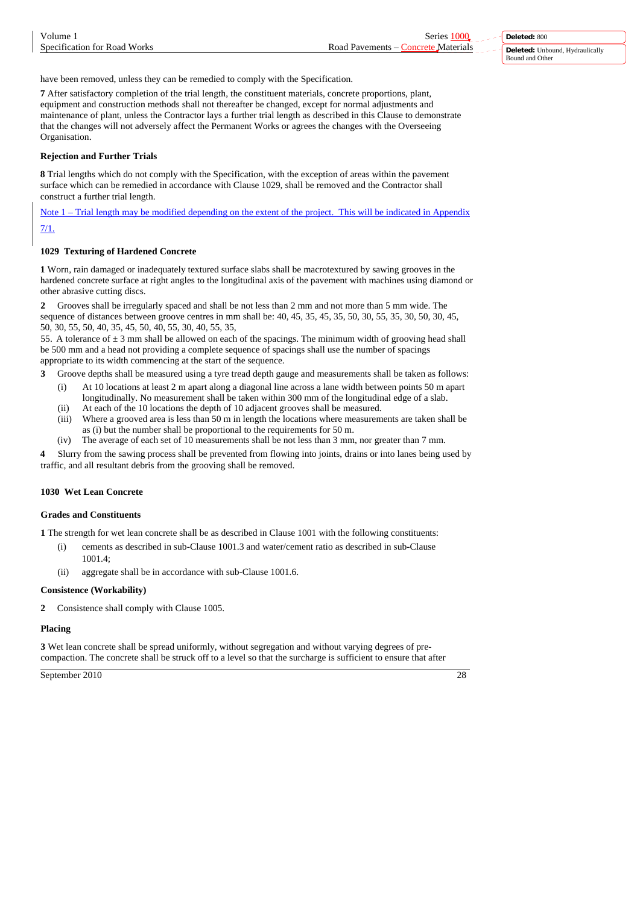have been removed, unless they can be remedied to comply with the Specification.

**7** After satisfactory completion of the trial length, the constituent materials, concrete proportions, plant, equipment and construction methods shall not thereafter be changed, except for normal adjustments and maintenance of plant, unless the Contractor lays a further trial length as described in this Clause to demonstrate that the changes will not adversely affect the Permanent Works or agrees the changes with the Overseeing Organisation.

# **Rejection and Further Trials**

**8** Trial lengths which do not comply with the Specification, with the exception of areas within the pavement surface which can be remedied in accordance with Clause 1029, shall be removed and the Contractor shall construct a further trial length.

Note 1 – Trial length may be modified depending on the extent of the project. This will be indicated in Appendix

7/1.

# **1029 Texturing of Hardened Concrete**

**1** Worn, rain damaged or inadequately textured surface slabs shall be macrotextured by sawing grooves in the hardened concrete surface at right angles to the longitudinal axis of the pavement with machines using diamond or other abrasive cutting discs.

**2** Grooves shall be irregularly spaced and shall be not less than 2 mm and not more than 5 mm wide. The sequence of distances between groove centres in mm shall be: 40, 45, 35, 45, 35, 50, 30, 55, 35, 30, 50, 30, 45, 50, 30, 55, 50, 40, 35, 45, 50, 40, 55, 30, 40, 55, 35,

55. A tolerance of  $\pm 3$  mm shall be allowed on each of the spacings. The minimum width of grooving head shall be 500 mm and a head not providing a complete sequence of spacings shall use the number of spacings appropriate to its width commencing at the start of the sequence.

**3** Groove depths shall be measured using a tyre tread depth gauge and measurements shall be taken as follows:

- (i) At 10 locations at least 2 m apart along a diagonal line across a lane width between points 50 m apart longitudinally. No measurement shall be taken within 300 mm of the longitudinal edge of a slab. (ii) At each of the 10 locations the depth of 10 adjacent grooves shall be measured.
- (iii) Where a grooved area is less than 50 m in length the locations where measurements are taken shall be as (i) but the number shall be proportional to the requirements for 50 m.
- (iv) The average of each set of 10 measurements shall be not less than 3 mm, nor greater than 7 mm.

**4** Slurry from the sawing process shall be prevented from flowing into joints, drains or into lanes being used by traffic, and all resultant debris from the grooving shall be removed.

# **1030 Wet Lean Concrete**

# **Grades and Constituents**

**1** The strength for wet lean concrete shall be as described in Clause 1001 with the following constituents:

- (i) cements as described in sub-Clause 1001.3 and water/cement ratio as described in sub-Clause  $1001.4$
- (ii) aggregate shall be in accordance with sub-Clause 1001.6.

# **Consistence (Workability)**

**2** Consistence shall comply with Clause 1005.

# **Placing**

**3** Wet lean concrete shall be spread uniformly, without segregation and without varying degrees of precompaction. The concrete shall be struck off to a level so that the surcharge is sufficient to ensure that after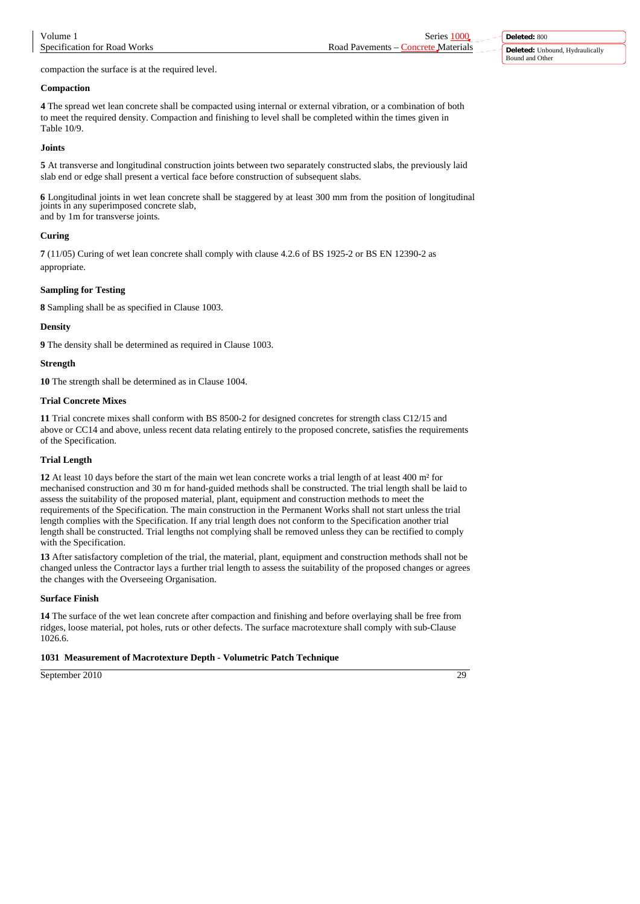compaction the surface is at the required level.

# **Compaction**

**4** The spread wet lean concrete shall be compacted using internal or external vibration, or a combination of both to meet the required density. Compaction and finishing to level shall be completed within the times given in Table 10/9.

## **Joints**

**5** At transverse and longitudinal construction joints between two separately constructed slabs, the previously laid slab end or edge shall present a vertical face before construction of subsequent slabs.

**6** Longitudinal joints in wet lean concrete shall be staggered by at least 300 mm from the position of longitudinal joints in any superimposed concrete slab, and by 1m for transverse joints.

# **Curing**

**7** (11/05) Curing of wet lean concrete shall comply with clause 4.2.6 of BS 1925-2 or BS EN 12390-2 as appropriate.

# **Sampling for Testing**

**8** Sampling shall be as specified in Clause 1003.

### **Density**

**9** The density shall be determined as required in Clause 1003.

### **Strength**

**10** The strength shall be determined as in Clause 1004.

### **Trial Concrete Mixes**

**11** Trial concrete mixes shall conform with BS 8500-2 for designed concretes for strength class C12/15 and above or CC14 and above, unless recent data relating entirely to the proposed concrete, satisfies the requirements of the Specification.

#### **Trial Length**

**12** At least 10 days before the start of the main wet lean concrete works a trial length of at least 400 m² for mechanised construction and 30 m for hand-guided methods shall be constructed. The trial length shall be laid to assess the suitability of the proposed material, plant, equipment and construction methods to meet the requirements of the Specification. The main construction in the Permanent Works shall not start unless the trial length complies with the Specification. If any trial length does not conform to the Specification another trial length shall be constructed. Trial lengths not complying shall be removed unless they can be rectified to comply with the Specification.

**13** After satisfactory completion of the trial, the material, plant, equipment and construction methods shall not be changed unless the Contractor lays a further trial length to assess the suitability of the proposed changes or agrees the changes with the Overseeing Organisation.

# **Surface Finish**

**14** The surface of the wet lean concrete after compaction and finishing and before overlaying shall be free from ridges, loose material, pot holes, ruts or other defects. The surface macrotexture shall comply with sub-Clause 1026.6.

# **1031 Measurement of Macrotexture Depth - Volumetric Patch Technique**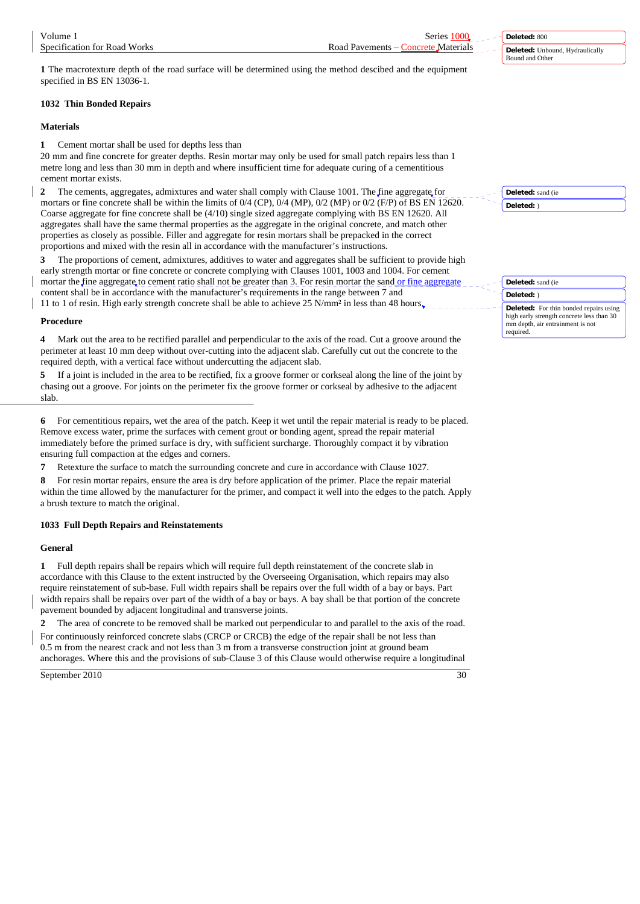**1** The macrotexture depth of the road surface will be determined using the method descibed and the equipment specified in BS EN 13036-1.

# **1032 Thin Bonded Repairs**

#### **Materials**

**1** Cement mortar shall be used for depths less than

20 mm and fine concrete for greater depths. Resin mortar may only be used for small patch repairs less than 1 metre long and less than 30 mm in depth and where insufficient time for adequate curing of a cementitious cement mortar exists.

**2** The cements, aggregates, admixtures and water shall comply with Clause 1001. The fine aggregate for mortars or fine concrete shall be within the limits of 0/4 (CP), 0/4 (MP), 0/2 (MP) or 0/2 (F/P) of BS EN 12620. Coarse aggregate for fine concrete shall be (4/10) single sized aggregate complying with BS EN 12620. All aggregates shall have the same thermal properties as the aggregate in the original concrete, and match other properties as closely as possible. Filler and aggregate for resin mortars shall be prepacked in the correct proportions and mixed with the resin all in accordance with the manufacturer's instructions.

**3** The proportions of cement, admixtures, additives to water and aggregates shall be sufficient to provide high early strength mortar or fine concrete or concrete complying with Clauses 1001, 1003 and 1004. For cement mortar the fine aggregate to cement ratio shall not be greater than 3. For resin mortar the sand or fine aggregate content shall be in accordance with the manufacturer's requirements in the range between 7 and

11 to 1 of resin. High early strength concrete shall be able to achieve 25 N/mm² in less than 48 hours.

#### **Procedure**

**4** Mark out the area to be rectified parallel and perpendicular to the axis of the road. Cut a groove around the perimeter at least 10 mm deep without over-cutting into the adjacent slab. Carefully cut out the concrete to the required depth, with a vertical face without undercutting the adjacent slab.

**5** If a joint is included in the area to be rectified, fix a groove former or corkseal along the line of the joint by chasing out a groove. For joints on the perimeter fix the groove former or corkseal by adhesive to the adjacent slab.

**6** For cementitious repairs, wet the area of the patch. Keep it wet until the repair material is ready to be placed. Remove excess water, prime the surfaces with cement grout or bonding agent, spread the repair material immediately before the primed surface is dry, with sufficient surcharge. Thoroughly compact it by vibration ensuring full compaction at the edges and corners.

**7** Retexture the surface to match the surrounding concrete and cure in accordance with Clause 1027.

**8** For resin mortar repairs, ensure the area is dry before application of the primer. Place the repair material within the time allowed by the manufacturer for the primer, and compact it well into the edges to the patch. Apply a brush texture to match the original.

# **1033 Full Depth Repairs and Reinstatements**

### **General**

**1** Full depth repairs shall be repairs which will require full depth reinstatement of the concrete slab in accordance with this Clause to the extent instructed by the Overseeing Organisation, which repairs may also require reinstatement of sub-base. Full width repairs shall be repairs over the full width of a bay or bays. Part width repairs shall be repairs over part of the width of a bay or bays. A bay shall be that portion of the concrete pavement bounded by adjacent longitudinal and transverse joints.

**2** The area of concrete to be removed shall be marked out perpendicular to and parallel to the axis of the road.

For continuously reinforced concrete slabs (CRCP or CRCB) the edge of the repair shall be not less than 0.5 m from the nearest crack and not less than 3 m from a transverse construction joint at ground beam anchorages. Where this and the provisions of sub-Clause 3 of this Clause would otherwise require a longitudinal

September 2010 30

Bound and Other

**Deleted:** Unbound, Hydraulically

**Deleted:** 800

**Deleted:** sand (ie **Deleted:** )

**Deleted:** sand (ie **Deleted:** ) **Deleted:** For thin bonded repairs using high early strength concrete less than 30 mm depth, air entrainment is not required.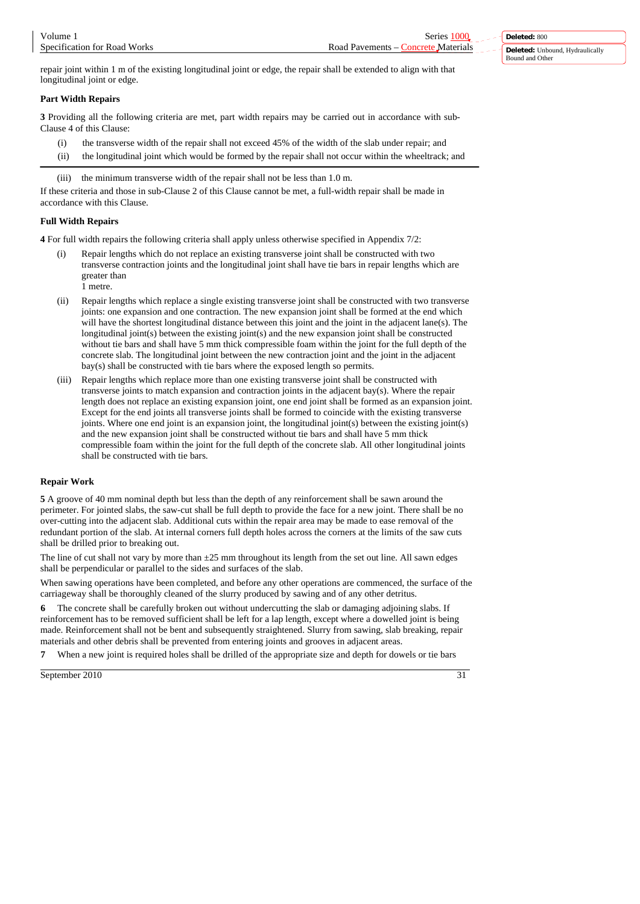repair joint within 1 m of the existing longitudinal joint or edge, the repair shall be extended to align with that longitudinal joint or edge.

# **Part Width Repairs**

**3** Providing all the following criteria are met, part width repairs may be carried out in accordance with sub-Clause 4 of this Clause:

- (i) the transverse width of the repair shall not exceed 45% of the width of the slab under repair; and
- (ii) the longitudinal joint which would be formed by the repair shall not occur within the wheeltrack; and

(iii) the minimum transverse width of the repair shall not be less than 1.0 m.

If these criteria and those in sub-Clause 2 of this Clause cannot be met, a full-width repair shall be made in accordance with this Clause.

# **Full Width Repairs**

**4** For full width repairs the following criteria shall apply unless otherwise specified in Appendix 7/2:

- (i) Repair lengths which do not replace an existing transverse joint shall be constructed with two transverse contraction joints and the longitudinal joint shall have tie bars in repair lengths which are greater than 1 metre.
- (ii) Repair lengths which replace a single existing transverse joint shall be constructed with two transverse joints: one expansion and one contraction. The new expansion joint shall be formed at the end which will have the shortest longitudinal distance between this joint and the joint in the adjacent lane(s). The longitudinal joint(s) between the existing joint(s) and the new expansion joint shall be constructed without tie bars and shall have 5 mm thick compressible foam within the joint for the full depth of the concrete slab. The longitudinal joint between the new contraction joint and the joint in the adjacent bay(s) shall be constructed with tie bars where the exposed length so permits.
- (iii) Repair lengths which replace more than one existing transverse joint shall be constructed with transverse joints to match expansion and contraction joints in the adjacent bay(s). Where the repair length does not replace an existing expansion joint, one end joint shall be formed as an expansion joint. Except for the end joints all transverse joints shall be formed to coincide with the existing transverse joints. Where one end joint is an expansion joint, the longitudinal joint(s) between the existing joint(s) and the new expansion joint shall be constructed without tie bars and shall have 5 mm thick compressible foam within the joint for the full depth of the concrete slab. All other longitudinal joints shall be constructed with tie bars.

# **Repair Work**

**5** A groove of 40 mm nominal depth but less than the depth of any reinforcement shall be sawn around the perimeter. For jointed slabs, the saw-cut shall be full depth to provide the face for a new joint. There shall be no over-cutting into the adjacent slab. Additional cuts within the repair area may be made to ease removal of the redundant portion of the slab. At internal corners full depth holes across the corners at the limits of the saw cuts shall be drilled prior to breaking out.

The line of cut shall not vary by more than  $\pm 25$  mm throughout its length from the set out line. All sawn edges shall be perpendicular or parallel to the sides and surfaces of the slab.

When sawing operations have been completed, and before any other operations are commenced, the surface of the carriageway shall be thoroughly cleaned of the slurry produced by sawing and of any other detritus.

**6** The concrete shall be carefully broken out without undercutting the slab or damaging adjoining slabs. If reinforcement has to be removed sufficient shall be left for a lap length, except where a dowelled joint is being made. Reinforcement shall not be bent and subsequently straightened. Slurry from sawing, slab breaking, repair materials and other debris shall be prevented from entering joints and grooves in adjacent areas.

**7** When a new joint is required holes shall be drilled of the appropriate size and depth for dowels or tie bars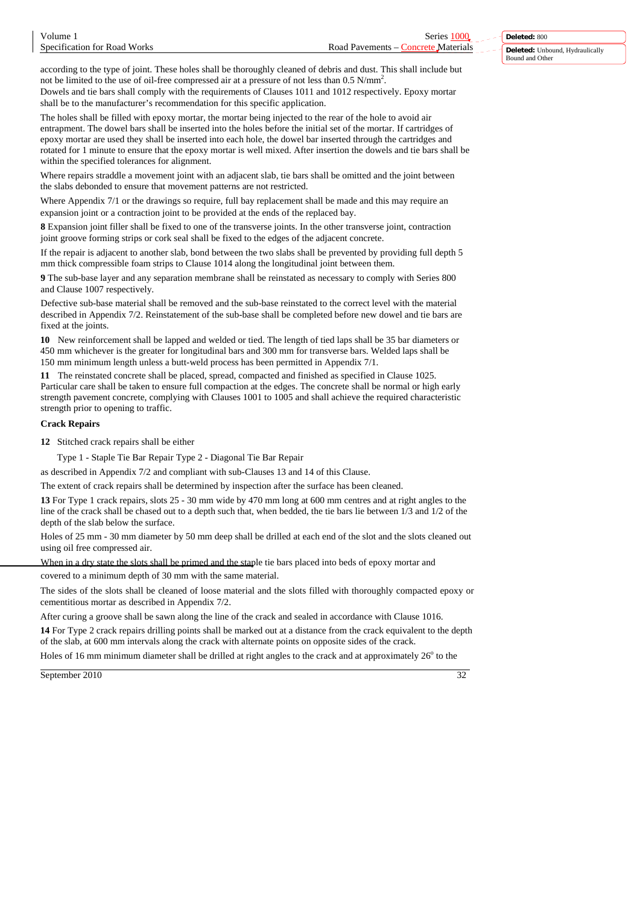according to the type of joint. These holes shall be thoroughly cleaned of debris and dust. This shall include but not be limited to the use of oil-free compressed air at a pressure of not less than  $0.5$  N/mm<sup>2</sup>. Dowels and tie bars shall comply with the requirements of Clauses 1011 and 1012 respectively. Epoxy mortar shall be to the manufacturer's recommendation for this specific application.

The holes shall be filled with epoxy mortar, the mortar being injected to the rear of the hole to avoid air entrapment. The dowel bars shall be inserted into the holes before the initial set of the mortar. If cartridges of epoxy mortar are used they shall be inserted into each hole, the dowel bar inserted through the cartridges and rotated for 1 minute to ensure that the epoxy mortar is well mixed. After insertion the dowels and tie bars shall be within the specified tolerances for alignment.

Where repairs straddle a movement joint with an adjacent slab, tie bars shall be omitted and the joint between the slabs debonded to ensure that movement patterns are not restricted.

Where Appendix 7/1 or the drawings so require, full bay replacement shall be made and this may require an expansion joint or a contraction joint to be provided at the ends of the replaced bay.

**8** Expansion joint filler shall be fixed to one of the transverse joints. In the other transverse joint, contraction joint groove forming strips or cork seal shall be fixed to the edges of the adjacent concrete.

If the repair is adjacent to another slab, bond between the two slabs shall be prevented by providing full depth 5 mm thick compressible foam strips to Clause 1014 along the longitudinal joint between them.

**9** The sub-base layer and any separation membrane shall be reinstated as necessary to comply with Series 800 and Clause 1007 respectively.

Defective sub-base material shall be removed and the sub-base reinstated to the correct level with the material described in Appendix 7/2. Reinstatement of the sub-base shall be completed before new dowel and tie bars are fixed at the joints.

**10** New reinforcement shall be lapped and welded or tied. The length of tied laps shall be 35 bar diameters or 450 mm whichever is the greater for longitudinal bars and 300 mm for transverse bars. Welded laps shall be 150 mm minimum length unless a butt-weld process has been permitted in Appendix 7/1.

**11** The reinstated concrete shall be placed, spread, compacted and finished as specified in Clause 1025. Particular care shall be taken to ensure full compaction at the edges. The concrete shall be normal or high early strength pavement concrete, complying with Clauses 1001 to 1005 and shall achieve the required characteristic strength prior to opening to traffic.

### **Crack Repairs**

**12** Stitched crack repairs shall be either

Type 1 - Staple Tie Bar Repair Type 2 - Diagonal Tie Bar Repair

as described in Appendix 7/2 and compliant with sub-Clauses 13 and 14 of this Clause.

The extent of crack repairs shall be determined by inspection after the surface has been cleaned.

**13** For Type 1 crack repairs, slots 25 - 30 mm wide by 470 mm long at 600 mm centres and at right angles to the line of the crack shall be chased out to a depth such that, when bedded, the tie bars lie between 1/3 and 1/2 of the depth of the slab below the surface.

Holes of 25 mm - 30 mm diameter by 50 mm deep shall be drilled at each end of the slot and the slots cleaned out using oil free compressed air.

When in a dry state the slots shall be primed and the staple tie bars placed into beds of epoxy mortar and covered to a minimum depth of 30 mm with the same material.

The sides of the slots shall be cleaned of loose material and the slots filled with thoroughly compacted epoxy or cementitious mortar as described in Appendix 7/2.

After curing a groove shall be sawn along the line of the crack and sealed in accordance with Clause 1016.

**14** For Type 2 crack repairs drilling points shall be marked out at a distance from the crack equivalent to the depth of the slab, at 600 mm intervals along the crack with alternate points on opposite sides of the crack.

Holes of 16 mm minimum diameter shall be drilled at right angles to the crack and at approximately  $26^{\circ}$  to the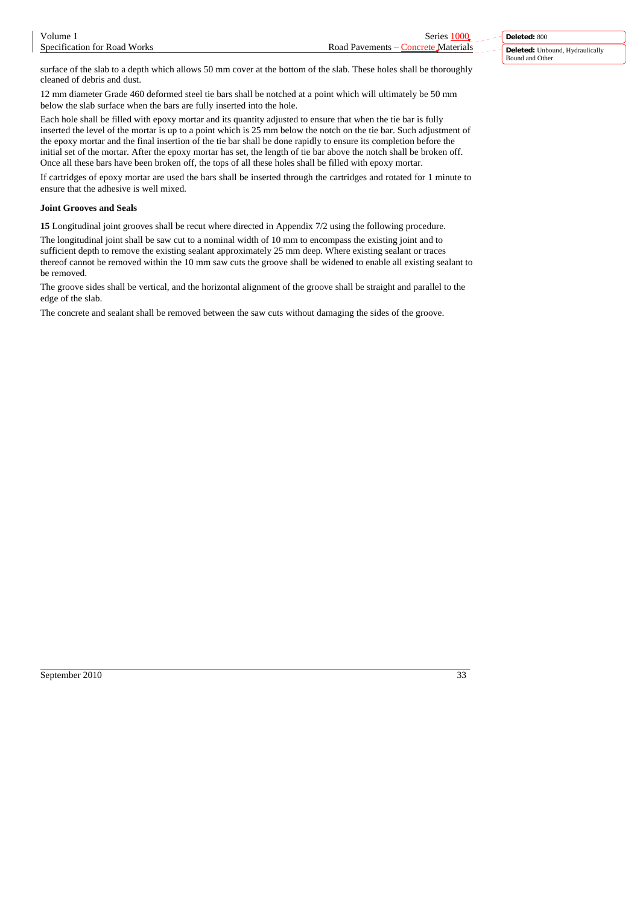surface of the slab to a depth which allows 50 mm cover at the bottom of the slab. These holes shall be thoroughly cleaned of debris and dust.

12 mm diameter Grade 460 deformed steel tie bars shall be notched at a point which will ultimately be 50 mm below the slab surface when the bars are fully inserted into the hole.

Each hole shall be filled with epoxy mortar and its quantity adjusted to ensure that when the tie bar is fully inserted the level of the mortar is up to a point which is 25 mm below the notch on the tie bar. Such adjustment of the epoxy mortar and the final insertion of the tie bar shall be done rapidly to ensure its completion before the initial set of the mortar. After the epoxy mortar has set, the length of tie bar above the notch shall be broken off. Once all these bars have been broken off, the tops of all these holes shall be filled with epoxy mortar.

If cartridges of epoxy mortar are used the bars shall be inserted through the cartridges and rotated for 1 minute to ensure that the adhesive is well mixed.

# **Joint Grooves and Seals**

**15** Longitudinal joint grooves shall be recut where directed in Appendix 7/2 using the following procedure.

The longitudinal joint shall be saw cut to a nominal width of 10 mm to encompass the existing joint and to sufficient depth to remove the existing sealant approximately 25 mm deep. Where existing sealant or traces thereof cannot be removed within the 10 mm saw cuts the groove shall be widened to enable all existing sealant to be removed.

The groove sides shall be vertical, and the horizontal alignment of the groove shall be straight and parallel to the edge of the slab.

The concrete and sealant shall be removed between the saw cuts without damaging the sides of the groove.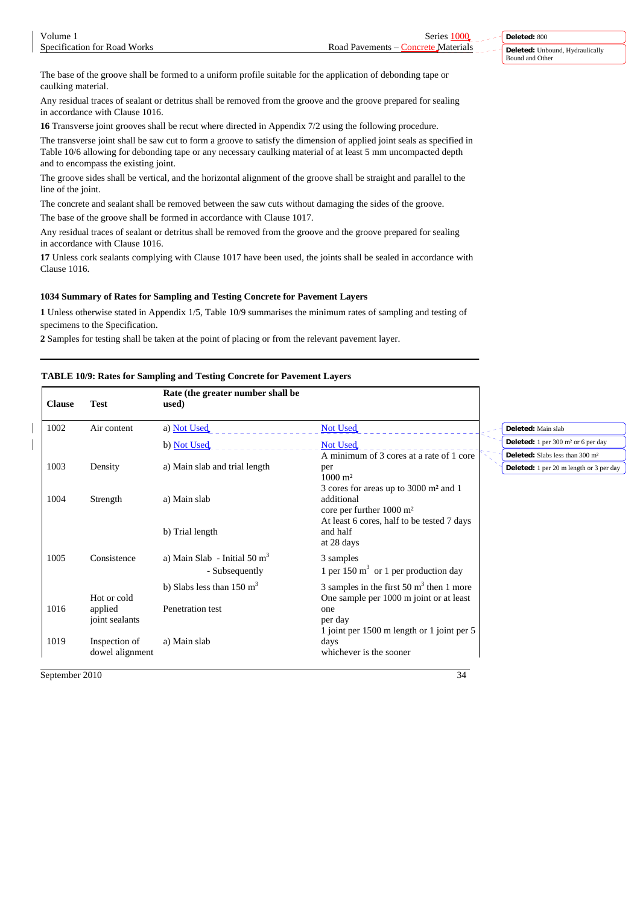The base of the groove shall be formed to a uniform profile suitable for the application of debonding tape or caulking material.

Any residual traces of sealant or detritus shall be removed from the groove and the groove prepared for sealing in accordance with Clause 1016.

**16** Transverse joint grooves shall be recut where directed in Appendix 7/2 using the following procedure.

The transverse joint shall be saw cut to form a groove to satisfy the dimension of applied joint seals as specified in Table 10/6 allowing for debonding tape or any necessary caulking material of at least 5 mm uncompacted depth and to encompass the existing joint.

The groove sides shall be vertical, and the horizontal alignment of the groove shall be straight and parallel to the line of the joint.

The concrete and sealant shall be removed between the saw cuts without damaging the sides of the groove.

The base of the groove shall be formed in accordance with Clause 1017.

Any residual traces of sealant or detritus shall be removed from the groove and the groove prepared for sealing in accordance with Clause 1016.

**17** Unless cork sealants complying with Clause 1017 have been used, the joints shall be sealed in accordance with Clause 1016.

### **1034 Summary of Rates for Sampling and Testing Concrete for Pavement Layers**

**1** Unless otherwise stated in Appendix 1/5, Table 10/9 summarises the minimum rates of sampling and testing of specimens to the Specification.

**2** Samples for testing shall be taken at the point of placing or from the relevant pavement layer.

**R** t (the greater number shall be a shall be a shall be a shall be a shall be a shall be a shall be a shall be a shall be a shall be a shall be a shall be a shall be a shall be a shall be a shall be a shall be a shall be

# **TABLE 10/9: Rates for Sampling and Testing Concrete for Pavement Layers**

| <b>Clause</b> | <b>Test</b>                      | Rate (the greater number shall be<br>used)       |                                                                                                        |                                                                                |
|---------------|----------------------------------|--------------------------------------------------|--------------------------------------------------------------------------------------------------------|--------------------------------------------------------------------------------|
| 1002          | Air content                      | a) Not Used                                      | Not Used                                                                                               | Deleted: Main slab                                                             |
|               |                                  | b) Not Used                                      | Not Used                                                                                               | <b>Deleted:</b> $1 \text{ per } 300 \text{ m}^2 \text{ or } 6 \text{ per day}$ |
|               |                                  |                                                  | A minimum of 3 cores at a rate of 1 core                                                               | Deleted: Slabs less than 300 m <sup>2</sup>                                    |
| 1003          | Density                          | a) Main slab and trial length                    | per<br>$1000 \; \mathrm{m}^2$                                                                          | <b>Deleted:</b> 1 per 20 m length or 3 per day                                 |
| 1004          | Strength                         | a) Main slab                                     | 3 cores for areas up to 3000 m <sup>2</sup> and 1<br>additional<br>core per further $1000 \text{ m}^2$ |                                                                                |
|               |                                  | b) Trial length                                  | At least 6 cores, half to be tested 7 days<br>and half<br>at 28 days                                   |                                                                                |
| 1005          | Consistence                      | a) Main Slab - Initial 50 $m3$<br>- Subsequently | 3 samples<br>1 per 150 $m3$ or 1 per production day                                                    |                                                                                |
|               | Hot or cold                      | b) Slabs less than $150 \text{ m}^3$             | 3 samples in the first 50 $m3$ then 1 more<br>One sample per 1000 m joint or at least                  |                                                                                |
| 1016          | applied<br>joint sealants        | Penetration test                                 | one<br>per day                                                                                         |                                                                                |
| 1019          | Inspection of<br>dowel alignment | a) Main slab                                     | 1 joint per 1500 m length or 1 joint per 5<br>days<br>whichever is the sooner                          |                                                                                |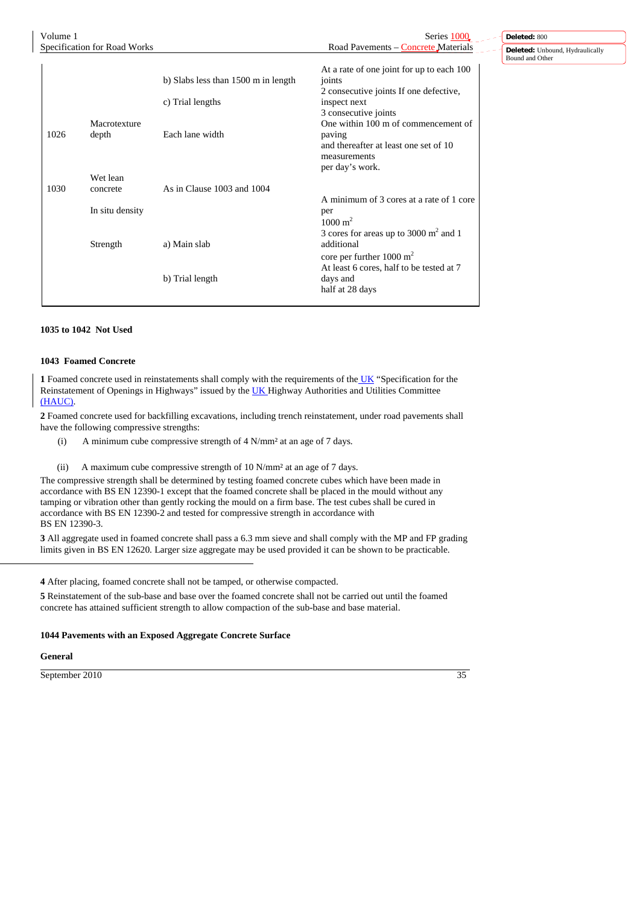| Volume 1 |                              |                                     | Series 1000                                                                                                               | Deleted: 800                                       |
|----------|------------------------------|-------------------------------------|---------------------------------------------------------------------------------------------------------------------------|----------------------------------------------------|
|          | Specification for Road Works |                                     | Road Pavements – Concrete Materials                                                                                       | Deleted: Unbound, Hydraulically<br>Bound and Other |
|          |                              | b) Slabs less than 1500 m in length | At a rate of one joint for up to each 100<br>joints                                                                       |                                                    |
|          |                              | c) Trial lengths                    | 2 consecutive joints If one defective,<br>inspect next<br>3 consecutive joints                                            |                                                    |
| 1026     | Macrotexture<br>depth        | Each lane width                     | One within 100 m of commencement of<br>paving<br>and thereafter at least one set of 10<br>measurements<br>per day's work. |                                                    |
|          | Wet lean                     |                                     |                                                                                                                           |                                                    |
| 1030     | concrete                     | As in Clause 1003 and 1004          | A minimum of 3 cores at a rate of 1 core                                                                                  |                                                    |
|          | In situ density              |                                     | per<br>$1000 \text{ m}^2$<br>3 cores for areas up to 3000 $m2$ and 1                                                      |                                                    |
|          | Strength                     | a) Main slab                        | additional<br>core per further $1000 \text{ m}^2$<br>At least 6 cores, half to be tested at 7                             |                                                    |
|          |                              | b) Trial length                     | days and<br>half at 28 days                                                                                               |                                                    |

# **1035 to 1042 Not Used**

#### **1043 Foamed Concrete**

**1** Foamed concrete used in reinstatements shall comply with the requirements of the UK "Specification for the Reinstatement of Openings in Highways" issued by the **UK** Highway Authorities and Utilities Committee (HAUC).

**2** Foamed concrete used for backfilling excavations, including trench reinstatement, under road pavements shall have the following compressive strengths:

(i) A minimum cube compressive strength of 4 N/mm² at an age of 7 days.

(ii) A maximum cube compressive strength of 10 N/mm<sup>2</sup> at an age of 7 days.

The compressive strength shall be determined by testing foamed concrete cubes which have been made in accordance with BS EN 12390-1 except that the foamed concrete shall be placed in the mould without any tamping or vibration other than gently rocking the mould on a firm base. The test cubes shall be cured in accordance with BS EN 12390-2 and tested for compressive strength in accordance with BS EN 12390-3.

**3** All aggregate used in foamed concrete shall pass a 6.3 mm sieve and shall comply with the MP and FP grading limits given in BS EN 12620. Larger size aggregate may be used provided it can be shown to be practicable.

**4** After placing, foamed concrete shall not be tamped, or otherwise compacted.

**5** Reinstatement of the sub-base and base over the foamed concrete shall not be carried out until the foamed concrete has attained sufficient strength to allow compaction of the sub-base and base material.

#### **1044 Pavements with an Exposed Aggregate Concrete Surface**

**General**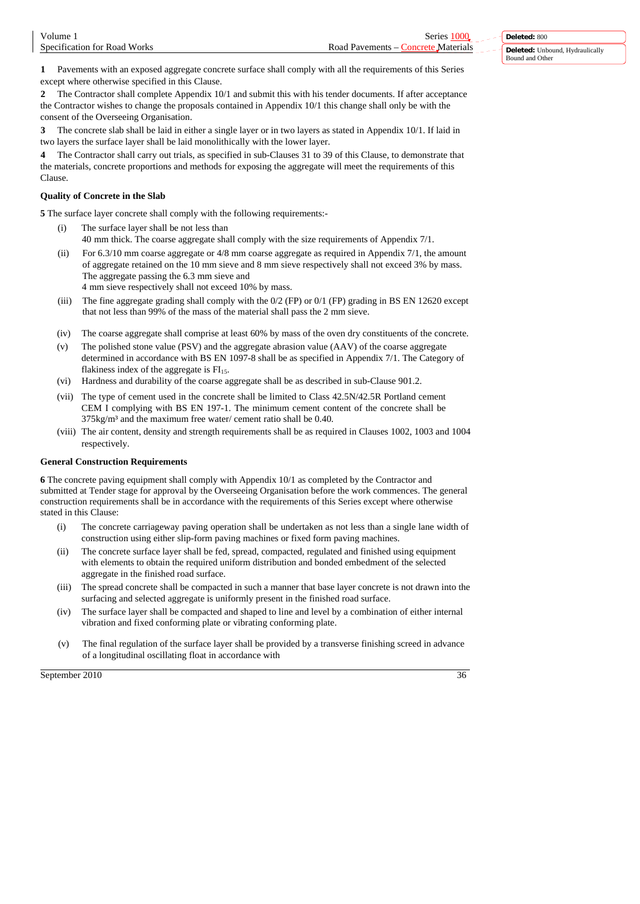**1** Pavements with an exposed aggregate concrete surface shall comply with all the requirements of this Series except where otherwise specified in this Clause.

**2** The Contractor shall complete Appendix 10/1 and submit this with his tender documents. If after acceptance the Contractor wishes to change the proposals contained in Appendix 10/1 this change shall only be with the consent of the Overseeing Organisation.

**3** The concrete slab shall be laid in either a single layer or in two layers as stated in Appendix 10/1. If laid in two layers the surface layer shall be laid monolithically with the lower layer.

**4** The Contractor shall carry out trials, as specified in sub-Clauses 31 to 39 of this Clause, to demonstrate that the materials, concrete proportions and methods for exposing the aggregate will meet the requirements of this Clause.

# **Quality of Concrete in the Slab**

**5** The surface layer concrete shall comply with the following requirements:-

- The surface layer shall be not less than
- 40 mm thick. The coarse aggregate shall comply with the size requirements of Appendix 7/1.
- (ii) For 6.3/10 mm coarse aggregate or 4/8 mm coarse aggregate as required in Appendix 7/1, the amount of aggregate retained on the 10 mm sieve and 8 mm sieve respectively shall not exceed 3% by mass. The aggregate passing the 6.3 mm sieve and
	- 4 mm sieve respectively shall not exceed 10% by mass.
- (iii) The fine aggregate grading shall comply with the  $0/2$  (FP) or  $0/1$  (FP) grading in BS EN 12620 except that not less than 99% of the mass of the material shall pass the 2 mm sieve.
- (iv) The coarse aggregate shall comprise at least 60% by mass of the oven dry constituents of the concrete.
- (v) The polished stone value (PSV) and the aggregate abrasion value (AAV) of the coarse aggregate determined in accordance with BS EN 1097-8 shall be as specified in Appendix 7/1. The Category of flakiness index of the aggregate is  $FI<sub>15</sub>$ .
- (vi) Hardness and durability of the coarse aggregate shall be as described in sub-Clause 901.2.
- (vii) The type of cement used in the concrete shall be limited to Class 42.5N/42.5R Portland cement CEM I complying with BS EN 197-1. The minimum cement content of the concrete shall be 375kg/m³ and the maximum free water/ cement ratio shall be 0.40.
- (viii) The air content, density and strength requirements shall be as required in Clauses 1002, 1003 and 1004 respectively.

# **General Construction Requirements**

**6** The concrete paving equipment shall comply with Appendix 10/1 as completed by the Contractor and submitted at Tender stage for approval by the Overseeing Organisation before the work commences. The general construction requirements shall be in accordance with the requirements of this Series except where otherwise stated in this Clause:

- The concrete carriageway paving operation shall be undertaken as not less than a single lane width of construction using either slip-form paving machines or fixed form paving machines.
- (ii) The concrete surface layer shall be fed, spread, compacted, regulated and finished using equipment with elements to obtain the required uniform distribution and bonded embedment of the selected aggregate in the finished road surface.
- (iii) The spread concrete shall be compacted in such a manner that base layer concrete is not drawn into the surfacing and selected aggregate is uniformly present in the finished road surface.
- (iv) The surface layer shall be compacted and shaped to line and level by a combination of either internal vibration and fixed conforming plate or vibrating conforming plate.
- (v) The final regulation of the surface layer shall be provided by a transverse finishing screed in advance of a longitudinal oscillating float in accordance with

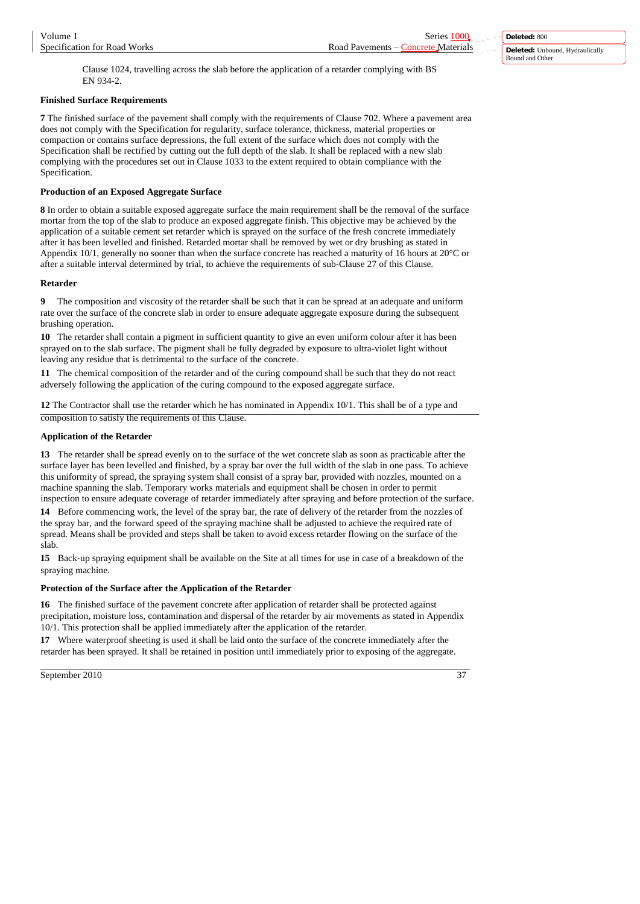Clause 1024, travelling across the slab before the application of a retarder complying with BS EN 934-2.

# **Finished Surface Requirements**

**7** The finished surface of the pavement shall comply with the requirements of Clause 702. Where a pavement area does not comply with the Specification for regularity, surface tolerance, thickness, material properties or compaction or contains surface depressions, the full extent of the surface which does not comply with the Specification shall be rectified by cutting out the full depth of the slab. It shall be replaced with a new slab complying with the procedures set out in Clause 1033 to the extent required to obtain compliance with the Specification.

# **Production of an Exposed Aggregate Surface**

**8** In order to obtain a suitable exposed aggregate surface the main requirement shall be the removal of the surface mortar from the top of the slab to produce an exposed aggregate finish. This objective may be achieved by the application of a suitable cement set retarder which is sprayed on the surface of the fresh concrete immediately after it has been levelled and finished. Retarded mortar shall be removed by wet or dry brushing as stated in Appendix 10/1, generally no sooner than when the surface concrete has reached a maturity of 16 hours at 20°C or after a suitable interval determined by trial, to achieve the requirements of sub-Clause 27 of this Clause.

# **Retarder**

**9** The composition and viscosity of the retarder shall be such that it can be spread at an adequate and uniform rate over the surface of the concrete slab in order to ensure adequate aggregate exposure during the subsequent brushing operation.

**10** The retarder shall contain a pigment in sufficient quantity to give an even uniform colour after it has been sprayed on to the slab surface. The pigment shall be fully degraded by exposure to ultra-violet light without leaving any residue that is detrimental to the surface of the concrete.

**11** The chemical composition of the retarder and of the curing compound shall be such that they do not react adversely following the application of the curing compound to the exposed aggregate surface.

**12** The Contractor shall use the retarder which he has nominated in Appendix 10/1. This shall be of a type and composition to satisfy the requirements of this Clause.

# **Application of the Retarder**

**13** The retarder shall be spread evenly on to the surface of the wet concrete slab as soon as practicable after the surface layer has been levelled and finished, by a spray bar over the full width of the slab in one pass. To achieve this uniformity of spread, the spraying system shall consist of a spray bar, provided with nozzles, mounted on a machine spanning the slab. Temporary works materials and equipment shall be chosen in order to permit inspection to ensure adequate coverage of retarder immediately after spraying and before protection of the surface.

**14** Before commencing work, the level of the spray bar, the rate of delivery of the retarder from the nozzles of the spray bar, and the forward speed of the spraying machine shall be adjusted to achieve the required rate of spread. Means shall be provided and steps shall be taken to avoid excess retarder flowing on the surface of the slab.

**15** Back-up spraying equipment shall be available on the Site at all times for use in case of a breakdown of the spraying machine.

# **Protection of the Surface after the Application of the Retarder**

**16** The finished surface of the pavement concrete after application of retarder shall be protected against precipitation, moisture loss, contamination and dispersal of the retarder by air movements as stated in Appendix 10/1. This protection shall be applied immediately after the application of the retarder.

**17** Where waterproof sheeting is used it shall be laid onto the surface of the concrete immediately after the retarder has been sprayed. It shall be retained in position until immediately prior to exposing of the aggregate.

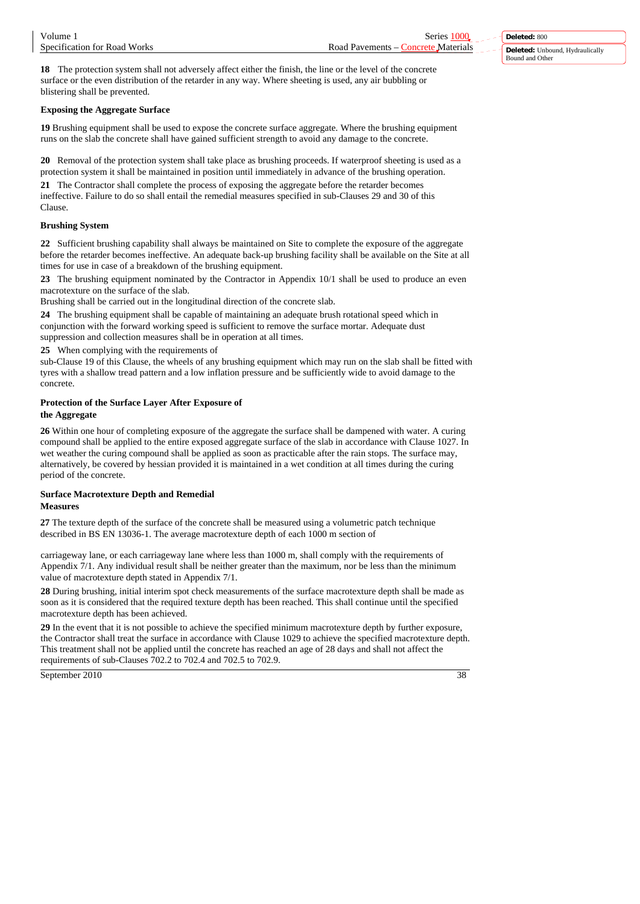**18** The protection system shall not adversely affect either the finish, the line or the level of the concrete surface or the even distribution of the retarder in any way. Where sheeting is used, any air bubbling or blistering shall be prevented.

# **Exposing the Aggregate Surface**

**19** Brushing equipment shall be used to expose the concrete surface aggregate. Where the brushing equipment runs on the slab the concrete shall have gained sufficient strength to avoid any damage to the concrete.

**20** Removal of the protection system shall take place as brushing proceeds. If waterproof sheeting is used as a protection system it shall be maintained in position until immediately in advance of the brushing operation.

**21** The Contractor shall complete the process of exposing the aggregate before the retarder becomes ineffective. Failure to do so shall entail the remedial measures specified in sub-Clauses 29 and 30 of this **Clause** 

# **Brushing System**

**22** Sufficient brushing capability shall always be maintained on Site to complete the exposure of the aggregate before the retarder becomes ineffective. An adequate back-up brushing facility shall be available on the Site at all times for use in case of a breakdown of the brushing equipment.

**23** The brushing equipment nominated by the Contractor in Appendix 10/1 shall be used to produce an even macrotexture on the surface of the slab.

Brushing shall be carried out in the longitudinal direction of the concrete slab.

**24** The brushing equipment shall be capable of maintaining an adequate brush rotational speed which in conjunction with the forward working speed is sufficient to remove the surface mortar. Adequate dust suppression and collection measures shall be in operation at all times.

**25** When complying with the requirements of

sub-Clause 19 of this Clause, the wheels of any brushing equipment which may run on the slab shall be fitted with tyres with a shallow tread pattern and a low inflation pressure and be sufficiently wide to avoid damage to the concrete.

# **Protection of the Surface Layer After Exposure of**

### **the Aggregate**

**26** Within one hour of completing exposure of the aggregate the surface shall be dampened with water. A curing compound shall be applied to the entire exposed aggregate surface of the slab in accordance with Clause 1027. In wet weather the curing compound shall be applied as soon as practicable after the rain stops. The surface may, alternatively, be covered by hessian provided it is maintained in a wet condition at all times during the curing period of the concrete.

# **Surface Macrotexture Depth and Remedial Measures**

**27** The texture depth of the surface of the concrete shall be measured using a volumetric patch technique described in BS EN 13036-1. The average macrotexture depth of each 1000 m section of

carriageway lane, or each carriageway lane where less than 1000 m, shall comply with the requirements of Appendix 7/1. Any individual result shall be neither greater than the maximum, nor be less than the minimum value of macrotexture depth stated in Appendix 7/1.

**28** During brushing, initial interim spot check measurements of the surface macrotexture depth shall be made as soon as it is considered that the required texture depth has been reached. This shall continue until the specified macrotexture depth has been achieved.

**29** In the event that it is not possible to achieve the specified minimum macrotexture depth by further exposure, the Contractor shall treat the surface in accordance with Clause 1029 to achieve the specified macrotexture depth. This treatment shall not be applied until the concrete has reached an age of 28 days and shall not affect the requirements of sub-Clauses 702.2 to 702.4 and 702.5 to 702.9.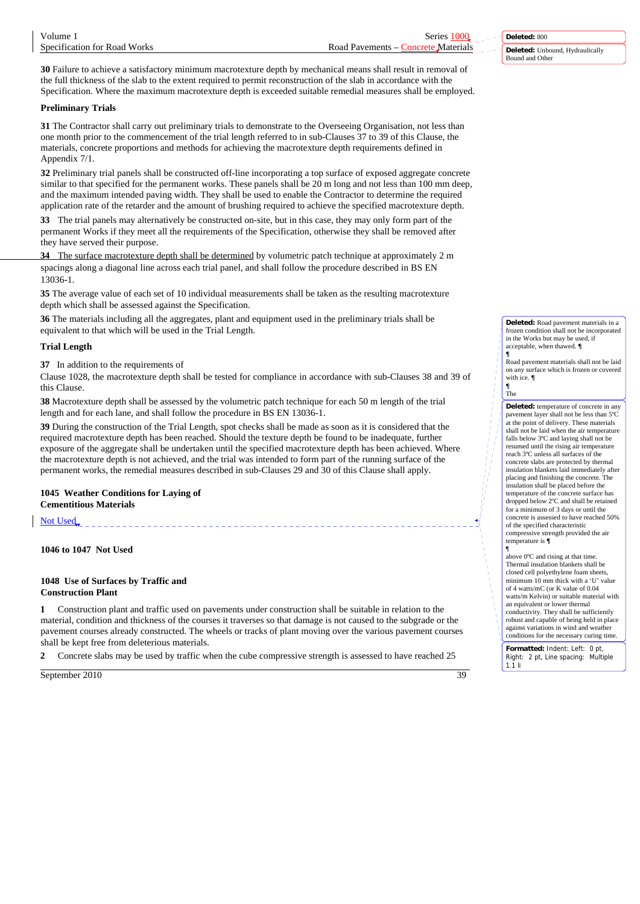**30** Failure to achieve a satisfactory minimum macrotexture depth by mechanical means shall result in removal of the full thickness of the slab to the extent required to permit reconstruction of the slab in accordance with the Specification. Where the maximum macrotexture depth is exceeded suitable remedial measures shall be employed.

# **Preliminary Trials**

**31** The Contractor shall carry out preliminary trials to demonstrate to the Overseeing Organisation, not less than one month prior to the commencement of the trial length referred to in sub-Clauses 37 to 39 of this Clause, the materials, concrete proportions and methods for achieving the macrotexture depth requirements defined in Appendix 7/1.

**32** Preliminary trial panels shall be constructed off-line incorporating a top surface of exposed aggregate concrete similar to that specified for the permanent works. These panels shall be 20 m long and not less than 100 mm deep, and the maximum intended paving width. They shall be used to enable the Contractor to determine the required application rate of the retarder and the amount of brushing required to achieve the specified macrotexture depth.

**33** The trial panels may alternatively be constructed on-site, but in this case, they may only form part of the permanent Works if they meet all the requirements of the Specification, otherwise they shall be removed after they have served their purpose.

**34** The surface macrotexture depth shall be determined by volumetric patch technique at approximately 2 m spacings along a diagonal line across each trial panel, and shall follow the procedure described in BS EN 13036-1.

**35** The average value of each set of 10 individual measurements shall be taken as the resulting macrotexture depth which shall be assessed against the Specification.

**36** The materials including all the aggregates, plant and equipment used in the preliminary trials shall be equivalent to that which will be used in the Trial Length.

### **Trial Length**

**37** In addition to the requirements of

Clause 1028, the macrotexture depth shall be tested for compliance in accordance with sub-Clauses 38 and 39 of this Clause.

**38** Macrotexture depth shall be assessed by the volumetric patch technique for each 50 m length of the trial length and for each lane, and shall follow the procedure in BS EN 13036-1.

**39** During the construction of the Trial Length, spot checks shall be made as soon as it is considered that the required macrotexture depth has been reached. Should the texture depth be found to be inadequate, further exposure of the aggregate shall be undertaken until the specified macrotexture depth has been achieved. Where the macrotexture depth is not achieved, and the trial was intended to form part of the running surface of the permanent works, the remedial measures described in sub-Clauses 29 and 30 of this Clause shall apply.

# **1045 Weather Conditions for Laying of Cementitious Materials**

Not Used

**1046 to 1047 Not Used**

#### **1048 Use of Surfaces by Traffic and Construction Plant**

**1** Construction plant and traffic used on pavements under construction shall be suitable in relation to the material, condition and thickness of the courses it traverses so that damage is not caused to the subgrade or the pavement courses already constructed. The wheels or tracks of plant moving over the various pavement courses shall be kept free from deleterious materials.

**2** Concrete slabs may be used by traffic when the cube compressive strength is assessed to have reached 25

September 2010 39

**Deleted:** 800 **Deleted:** Unbound, Hydraulically Bound and Other

**Deleted:** Road pavement materials in a frozen condition shall not be incorporated in the Works but may be used, if acceptable, when thawed. **¶**

**¶** Road pavement materials shall not be laid on any surface which is frozen or covered with ice. **¶ ¶** The

**Deleted:** temperature of concrete in any pavement layer shall not be less than 5ºC at the point of delivery. These materials shall not be laid when the air temperature falls below 3ºC and laying shall not be resumed until the rising air temperature reach 3ºC unless all surfaces of the concrete slabs are protected by thermal insulation blankets laid immediately after placing and finishing the concrete. The insulation shall be placed before the temperature of the concrete surface has dropped below 2ºC and shall be retained for a minimum of 3 days or until the concrete is assessed to have reached 50% of the specified characteristic compressive strength provided the air temperature is **¶**

¶ above 0ºC and rising at that time. Thermal insulation blankets shall be closed cell polyethylene foam sheets, minimum 10 mm thick with a 'U' value of 4 watts/mC (or K value of 0.04 watts/m Kelvin) or suitable material with an equivalent or lower thermal conductivity. They shall be sufficiently robust and capable of being held in place against variations in wind and weather conditions for the necessary curing time.

**Formatted:** Indent: Left: 0 pt, Right: 2 pt, Line spacing: Multiple 1.1 li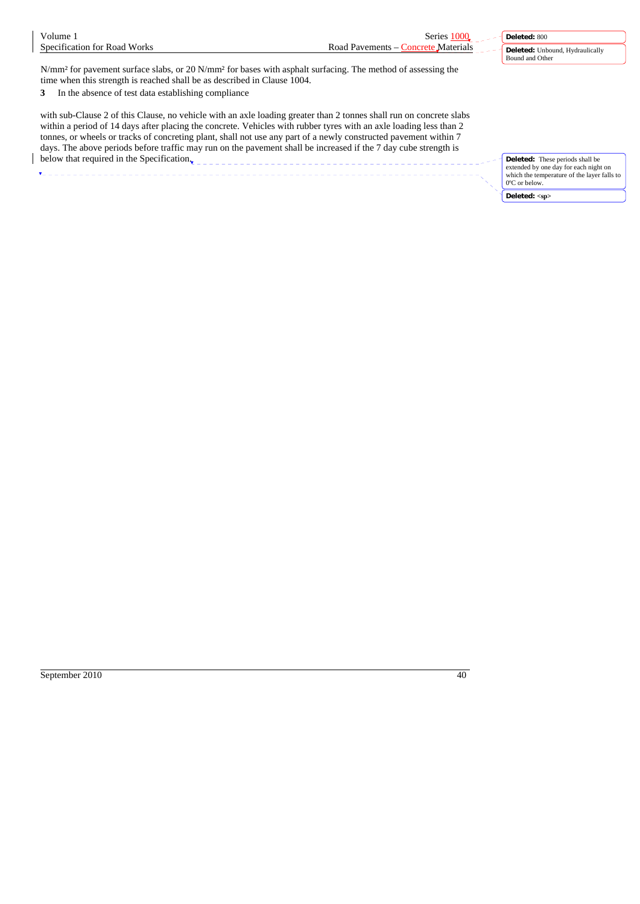| Volume 1                                                                                                                                                                                                                                                                                                                                                                                                                                                                         | Series 1000                         | Deleted: 800                                                                                                                                    |
|----------------------------------------------------------------------------------------------------------------------------------------------------------------------------------------------------------------------------------------------------------------------------------------------------------------------------------------------------------------------------------------------------------------------------------------------------------------------------------|-------------------------------------|-------------------------------------------------------------------------------------------------------------------------------------------------|
| Specification for Road Works                                                                                                                                                                                                                                                                                                                                                                                                                                                     | Road Pavements – Concrete Materials | <b>Deleted:</b> Unbound, Hydraulically<br>Bound and Other                                                                                       |
| N/mm <sup>2</sup> for pavement surface slabs, or 20 N/mm <sup>2</sup> for bases with asphalt surfacing. The method of assessing the<br>time when this strength is reached shall be as described in Clause 1004.<br>In the absence of test data establishing compliance<br>3                                                                                                                                                                                                      |                                     |                                                                                                                                                 |
| with sub-Clause 2 of this Clause, no vehicle with an axle loading greater than 2 tonnes shall run on concrete slabs<br>within a period of 14 days after placing the concrete. Vehicles with rubber tyres with an axle loading less than 2<br>tonnes, or wheels or tracks of concreting plant, shall not use any part of a newly constructed pavement within 7<br>days. The above periods before traffic may run on the pavement shall be increased if the 7 day cube strength is |                                     |                                                                                                                                                 |
| below that required in the Specification.                                                                                                                                                                                                                                                                                                                                                                                                                                        |                                     | <b>Deleted:</b> These periods shall be<br>extended by one day for each night on<br>which the temperature of the layer falls to<br>0°C or below. |

**Deleted: <sp>**